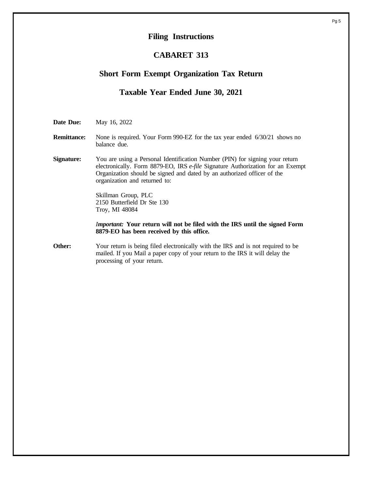## **Filing Instructions**

# **CABARET 313**

## **Short Form Exempt Organization Tax Return**

## **Taxable Year Ended June 30, 2021**

**Date Due:** May 16, 2022

- **Remittance:** None is required. Your Form 990-EZ for the tax year ended 6/30/21 shows no balance due.
- **Signature:** You are using a Personal Identification Number (PIN) for signing your return electronically. Form 8879-EO, IRS *e-file* Signature Authorization for an Exempt Organization should be signed and dated by an authorized officer of the organization and returned to:

Skillman Group, PLC 2150 Butterfield Dr Ste 130 Troy, MI 48084

*Important:* **Your return will not be filed with the IRS until the signed Form 8879-EO has been received by this office.**

**Other:** Your return is being filed electronically with the IRS and is not required to be mailed. If you Mail a paper copy of your return to the IRS it will delay the processing of your return.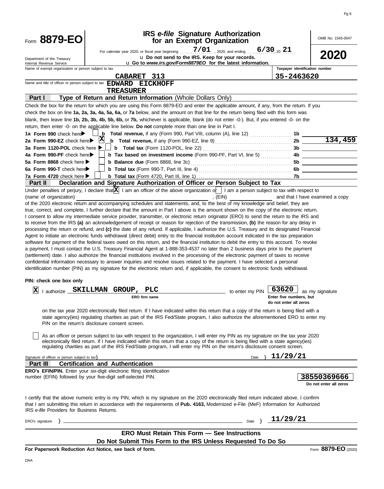| Form 8879-EO                                                                            |                                                                                                                                                                                                                                                                                                                                                                                                                                                                                                                                                                                                                                                                                                                                                                                                                                                                                                                                                                                                                                                                                                                                                                                                                                                                                                                                                                                                                                                                                                                                                                                                                                                                                                                                                                                                                                                                                                                                                                                                                                                                                                                                                                                                                                                                                                                                                                  | <b>IRS</b> e-file Signature Authorization<br>for an Exempt Organization                                    |                                                                                                                  | OMB No. 1545-0047                          |
|-----------------------------------------------------------------------------------------|------------------------------------------------------------------------------------------------------------------------------------------------------------------------------------------------------------------------------------------------------------------------------------------------------------------------------------------------------------------------------------------------------------------------------------------------------------------------------------------------------------------------------------------------------------------------------------------------------------------------------------------------------------------------------------------------------------------------------------------------------------------------------------------------------------------------------------------------------------------------------------------------------------------------------------------------------------------------------------------------------------------------------------------------------------------------------------------------------------------------------------------------------------------------------------------------------------------------------------------------------------------------------------------------------------------------------------------------------------------------------------------------------------------------------------------------------------------------------------------------------------------------------------------------------------------------------------------------------------------------------------------------------------------------------------------------------------------------------------------------------------------------------------------------------------------------------------------------------------------------------------------------------------------------------------------------------------------------------------------------------------------------------------------------------------------------------------------------------------------------------------------------------------------------------------------------------------------------------------------------------------------------------------------------------------------------------------------------------------------|------------------------------------------------------------------------------------------------------------|------------------------------------------------------------------------------------------------------------------|--------------------------------------------|
| Department of the Treasury                                                              |                                                                                                                                                                                                                                                                                                                                                                                                                                                                                                                                                                                                                                                                                                                                                                                                                                                                                                                                                                                                                                                                                                                                                                                                                                                                                                                                                                                                                                                                                                                                                                                                                                                                                                                                                                                                                                                                                                                                                                                                                                                                                                                                                                                                                                                                                                                                                                  | u Do not send to the IRS. Keep for your records.                                                           |                                                                                                                  | 2020                                       |
| Internal Revenue Service                                                                |                                                                                                                                                                                                                                                                                                                                                                                                                                                                                                                                                                                                                                                                                                                                                                                                                                                                                                                                                                                                                                                                                                                                                                                                                                                                                                                                                                                                                                                                                                                                                                                                                                                                                                                                                                                                                                                                                                                                                                                                                                                                                                                                                                                                                                                                                                                                                                  | u Go to www.irs.gov/Form8879EO for the latest information.                                                 |                                                                                                                  |                                            |
| Name of exempt organization or person subject to tax                                    |                                                                                                                                                                                                                                                                                                                                                                                                                                                                                                                                                                                                                                                                                                                                                                                                                                                                                                                                                                                                                                                                                                                                                                                                                                                                                                                                                                                                                                                                                                                                                                                                                                                                                                                                                                                                                                                                                                                                                                                                                                                                                                                                                                                                                                                                                                                                                                  |                                                                                                            | Taxpayer identification number                                                                                   |                                            |
|                                                                                         | CABARET 313                                                                                                                                                                                                                                                                                                                                                                                                                                                                                                                                                                                                                                                                                                                                                                                                                                                                                                                                                                                                                                                                                                                                                                                                                                                                                                                                                                                                                                                                                                                                                                                                                                                                                                                                                                                                                                                                                                                                                                                                                                                                                                                                                                                                                                                                                                                                                      |                                                                                                            | 35-2463620                                                                                                       |                                            |
|                                                                                         | Name and title of officer or person subject to tax EDWARD EICKHOFF<br><b>TREASURER</b>                                                                                                                                                                                                                                                                                                                                                                                                                                                                                                                                                                                                                                                                                                                                                                                                                                                                                                                                                                                                                                                                                                                                                                                                                                                                                                                                                                                                                                                                                                                                                                                                                                                                                                                                                                                                                                                                                                                                                                                                                                                                                                                                                                                                                                                                           |                                                                                                            |                                                                                                                  |                                            |
| Part I                                                                                  | Type of Return and Return Information (Whole Dollars Only)                                                                                                                                                                                                                                                                                                                                                                                                                                                                                                                                                                                                                                                                                                                                                                                                                                                                                                                                                                                                                                                                                                                                                                                                                                                                                                                                                                                                                                                                                                                                                                                                                                                                                                                                                                                                                                                                                                                                                                                                                                                                                                                                                                                                                                                                                                       |                                                                                                            |                                                                                                                  |                                            |
|                                                                                         | Check the box for the return for which you are using this Form 8879-EO and enter the applicable amount, if any, from the return. If you                                                                                                                                                                                                                                                                                                                                                                                                                                                                                                                                                                                                                                                                                                                                                                                                                                                                                                                                                                                                                                                                                                                                                                                                                                                                                                                                                                                                                                                                                                                                                                                                                                                                                                                                                                                                                                                                                                                                                                                                                                                                                                                                                                                                                          |                                                                                                            |                                                                                                                  |                                            |
|                                                                                         | check the box on line 1a, 2a, 3a, 4a, 5a, 6a, or 7a below, and the amount on that line for the return being filed with this form was                                                                                                                                                                                                                                                                                                                                                                                                                                                                                                                                                                                                                                                                                                                                                                                                                                                                                                                                                                                                                                                                                                                                                                                                                                                                                                                                                                                                                                                                                                                                                                                                                                                                                                                                                                                                                                                                                                                                                                                                                                                                                                                                                                                                                             |                                                                                                            |                                                                                                                  |                                            |
|                                                                                         | blank, then leave line 1b, 2b, 3b, 4b, 5b, 6b, or 7b, whichever is applicable, blank (do not enter -0-). But, if you entered -0- on the                                                                                                                                                                                                                                                                                                                                                                                                                                                                                                                                                                                                                                                                                                                                                                                                                                                                                                                                                                                                                                                                                                                                                                                                                                                                                                                                                                                                                                                                                                                                                                                                                                                                                                                                                                                                                                                                                                                                                                                                                                                                                                                                                                                                                          |                                                                                                            |                                                                                                                  |                                            |
|                                                                                         | return, then enter -0- on the applicable line below. Do not complete more than one line in Part I.                                                                                                                                                                                                                                                                                                                                                                                                                                                                                                                                                                                                                                                                                                                                                                                                                                                                                                                                                                                                                                                                                                                                                                                                                                                                                                                                                                                                                                                                                                                                                                                                                                                                                                                                                                                                                                                                                                                                                                                                                                                                                                                                                                                                                                                               |                                                                                                            |                                                                                                                  |                                            |
| 1a Form 990 check here                                                                  |                                                                                                                                                                                                                                                                                                                                                                                                                                                                                                                                                                                                                                                                                                                                                                                                                                                                                                                                                                                                                                                                                                                                                                                                                                                                                                                                                                                                                                                                                                                                                                                                                                                                                                                                                                                                                                                                                                                                                                                                                                                                                                                                                                                                                                                                                                                                                                  | <b>b</b> Total revenue, if any (Form 990, Part VIII, column (A), line 12)                                  | 1b                                                                                                               |                                            |
| 2a Form 990-EZ check here▶                                                              | $\mathbf{X}$                                                                                                                                                                                                                                                                                                                                                                                                                                                                                                                                                                                                                                                                                                                                                                                                                                                                                                                                                                                                                                                                                                                                                                                                                                                                                                                                                                                                                                                                                                                                                                                                                                                                                                                                                                                                                                                                                                                                                                                                                                                                                                                                                                                                                                                                                                                                                     | <b>b</b> Total revenue, if any (Form 990-EZ, line 9) $\ldots$ $\ldots$ $\ldots$ $\ldots$ $\ldots$ $\ldots$ |                                                                                                                  | $\frac{1b}{2b}$ $\frac{134,459}{2b}$       |
| 3a Form 1120-POL check here ▶                                                           |                                                                                                                                                                                                                                                                                                                                                                                                                                                                                                                                                                                                                                                                                                                                                                                                                                                                                                                                                                                                                                                                                                                                                                                                                                                                                                                                                                                                                                                                                                                                                                                                                                                                                                                                                                                                                                                                                                                                                                                                                                                                                                                                                                                                                                                                                                                                                                  |                                                                                                            |                                                                                                                  |                                            |
| 4a Form 990-PF check here▶                                                              |                                                                                                                                                                                                                                                                                                                                                                                                                                                                                                                                                                                                                                                                                                                                                                                                                                                                                                                                                                                                                                                                                                                                                                                                                                                                                                                                                                                                                                                                                                                                                                                                                                                                                                                                                                                                                                                                                                                                                                                                                                                                                                                                                                                                                                                                                                                                                                  |                                                                                                            |                                                                                                                  |                                            |
| 5a Form 8868 check here                                                                 |                                                                                                                                                                                                                                                                                                                                                                                                                                                                                                                                                                                                                                                                                                                                                                                                                                                                                                                                                                                                                                                                                                                                                                                                                                                                                                                                                                                                                                                                                                                                                                                                                                                                                                                                                                                                                                                                                                                                                                                                                                                                                                                                                                                                                                                                                                                                                                  |                                                                                                            | 5b                                                                                                               | <u> 1999 - Johann Barn, mars ann an t-</u> |
| 6a Form 990-T check here                                                                |                                                                                                                                                                                                                                                                                                                                                                                                                                                                                                                                                                                                                                                                                                                                                                                                                                                                                                                                                                                                                                                                                                                                                                                                                                                                                                                                                                                                                                                                                                                                                                                                                                                                                                                                                                                                                                                                                                                                                                                                                                                                                                                                                                                                                                                                                                                                                                  |                                                                                                            |                                                                                                                  | 6b                                         |
| 7a Form 4720 check here ▶                                                               | <b>b</b> Total tax (Form 4720, Part III, line 1)                                                                                                                                                                                                                                                                                                                                                                                                                                                                                                                                                                                                                                                                                                                                                                                                                                                                                                                                                                                                                                                                                                                                                                                                                                                                                                                                                                                                                                                                                                                                                                                                                                                                                                                                                                                                                                                                                                                                                                                                                                                                                                                                                                                                                                                                                                                 |                                                                                                            | 7b.                                                                                                              |                                            |
| <b>Part II</b>                                                                          | Declaration and Signature Authorization of Officer or Person Subject to Tax                                                                                                                                                                                                                                                                                                                                                                                                                                                                                                                                                                                                                                                                                                                                                                                                                                                                                                                                                                                                                                                                                                                                                                                                                                                                                                                                                                                                                                                                                                                                                                                                                                                                                                                                                                                                                                                                                                                                                                                                                                                                                                                                                                                                                                                                                      |                                                                                                            |                                                                                                                  |                                            |
|                                                                                         | Under penalties of perjury, I declare that $\mathbf{X}$ I am an officer of the above organization of I am a person subject to tax with respect to                                                                                                                                                                                                                                                                                                                                                                                                                                                                                                                                                                                                                                                                                                                                                                                                                                                                                                                                                                                                                                                                                                                                                                                                                                                                                                                                                                                                                                                                                                                                                                                                                                                                                                                                                                                                                                                                                                                                                                                                                                                                                                                                                                                                                |                                                                                                            |                                                                                                                  |                                            |
| (name of organization)<br>PIN: check one box only<br>$\overline{H}$<br>I authorize<br>ᅀ | of the 2020 electronic return and accompanying schedules and statements, and, to the best of my knowledge and belief, they are<br>true, correct, and complete. I further declare that the amount in Part I above is the amount shown on the copy of the electronic return.<br>I consent to allow my intermediate service provider, transmitter, or electronic return originator (ERO) to send the return to the IRS and<br>to receive from the IRS (a) an acknowledgement of receipt or reason for rejection of the transmission, (b) the reason for any delay in<br>processing the return or refund, and (c) the date of any refund. If applicable, I authorize the U.S. Treasury and its designated Financial<br>Agent to initiate an electronic funds withdrawal (direct debit) entry to the financial institution account indicated in the tax preparation<br>software for payment of the federal taxes owed on this return, and the financial institution to debit the entry to this account. To revoke<br>a payment, I must contact the U.S. Treasury Financial Agent at 1-888-353-4537 no later than 2 business days prior to the payment<br>(settlement) date. I also authorize the financial institutions involved in the processing of the electronic payment of taxes to receive<br>confidential information necessary to answer inquiries and resolve issues related to the payment. I have selected a personal<br>identification number (PIN) as my signature for the electronic return and, if applicable, the consent to electronic funds withdrawal.<br>SKILLMAN GROUP, PLC<br><b>ERO</b> firm name<br>on the tax year 2020 electronically filed return. If I have indicated within this return that a copy of the return is being filed with a<br>state agency(ies) regulating charities as part of the IRS Fed/State program, I also authorize the aforementioned ERO to enter my<br>PIN on the return's disclosure consent screen.<br>As an officer or person subject to tax with respect to the organization, I will enter my PIN as my signature on the tax year 2020<br>electronically filed return. If I have indicated within this return that a copy of the return is being filed with a state agency(ies)<br>regulating charities as part of the IRS Fed/State program, I will enter my PIN on the return's disclosure consent screen. | , (EIN)                                                                                                    | to enter my PIN $\boxed{63620}$ as my signature<br>Enter five numbers, but<br>do not enter all zeros<br>11/29/21 | and that I have examined a copy            |
| Signature of officer or person subject to tax}<br><b>Part III</b>                       | <b>Certification and Authentication</b>                                                                                                                                                                                                                                                                                                                                                                                                                                                                                                                                                                                                                                                                                                                                                                                                                                                                                                                                                                                                                                                                                                                                                                                                                                                                                                                                                                                                                                                                                                                                                                                                                                                                                                                                                                                                                                                                                                                                                                                                                                                                                                                                                                                                                                                                                                                          | Date                                                                                                       |                                                                                                                  |                                            |
|                                                                                         | ERO's EFIN/PIN. Enter your six-digit electronic filing identification                                                                                                                                                                                                                                                                                                                                                                                                                                                                                                                                                                                                                                                                                                                                                                                                                                                                                                                                                                                                                                                                                                                                                                                                                                                                                                                                                                                                                                                                                                                                                                                                                                                                                                                                                                                                                                                                                                                                                                                                                                                                                                                                                                                                                                                                                            |                                                                                                            |                                                                                                                  |                                            |
|                                                                                         | number (EFIN) followed by your five-digit self-selected PIN.                                                                                                                                                                                                                                                                                                                                                                                                                                                                                                                                                                                                                                                                                                                                                                                                                                                                                                                                                                                                                                                                                                                                                                                                                                                                                                                                                                                                                                                                                                                                                                                                                                                                                                                                                                                                                                                                                                                                                                                                                                                                                                                                                                                                                                                                                                     |                                                                                                            |                                                                                                                  | 38550369666<br>Do not enter all zeros      |
| IRS e-file Providers for Business Returns.                                              | I certify that the above numeric entry is my PIN, which is my signature on the 2020 electronically filed return indicated above. I confirm<br>that I am submitting this return in accordance with the requirements of Pub. 4163, Modernized e-File (MeF) Information for Authorized                                                                                                                                                                                                                                                                                                                                                                                                                                                                                                                                                                                                                                                                                                                                                                                                                                                                                                                                                                                                                                                                                                                                                                                                                                                                                                                                                                                                                                                                                                                                                                                                                                                                                                                                                                                                                                                                                                                                                                                                                                                                              |                                                                                                            |                                                                                                                  |                                            |
| ERO's signature                                                                         |                                                                                                                                                                                                                                                                                                                                                                                                                                                                                                                                                                                                                                                                                                                                                                                                                                                                                                                                                                                                                                                                                                                                                                                                                                                                                                                                                                                                                                                                                                                                                                                                                                                                                                                                                                                                                                                                                                                                                                                                                                                                                                                                                                                                                                                                                                                                                                  | Date }                                                                                                     | 11/29/21                                                                                                         |                                            |
|                                                                                         |                                                                                                                                                                                                                                                                                                                                                                                                                                                                                                                                                                                                                                                                                                                                                                                                                                                                                                                                                                                                                                                                                                                                                                                                                                                                                                                                                                                                                                                                                                                                                                                                                                                                                                                                                                                                                                                                                                                                                                                                                                                                                                                                                                                                                                                                                                                                                                  |                                                                                                            |                                                                                                                  |                                            |
|                                                                                         |                                                                                                                                                                                                                                                                                                                                                                                                                                                                                                                                                                                                                                                                                                                                                                                                                                                                                                                                                                                                                                                                                                                                                                                                                                                                                                                                                                                                                                                                                                                                                                                                                                                                                                                                                                                                                                                                                                                                                                                                                                                                                                                                                                                                                                                                                                                                                                  | <b>ERO Must Retain This Form - See Instructions</b>                                                        |                                                                                                                  |                                            |
|                                                                                         |                                                                                                                                                                                                                                                                                                                                                                                                                                                                                                                                                                                                                                                                                                                                                                                                                                                                                                                                                                                                                                                                                                                                                                                                                                                                                                                                                                                                                                                                                                                                                                                                                                                                                                                                                                                                                                                                                                                                                                                                                                                                                                                                                                                                                                                                                                                                                                  | Do Not Submit This Form to the IRS Unless Requested To Do So                                               |                                                                                                                  |                                            |
|                                                                                         | For Paperwork Reduction Act Notice, see back of form.                                                                                                                                                                                                                                                                                                                                                                                                                                                                                                                                                                                                                                                                                                                                                                                                                                                                                                                                                                                                                                                                                                                                                                                                                                                                                                                                                                                                                                                                                                                                                                                                                                                                                                                                                                                                                                                                                                                                                                                                                                                                                                                                                                                                                                                                                                            |                                                                                                            |                                                                                                                  | Form 8879-EO (2020)                        |

Pg 6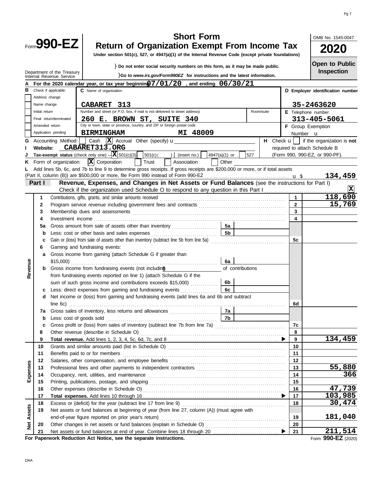|               |                |                                                        | <b>Short Form</b>                                                                                                                                           |                        |              | OMB No. 1545-0047                |  |  |
|---------------|----------------|--------------------------------------------------------|-------------------------------------------------------------------------------------------------------------------------------------------------------------|------------------------|--------------|----------------------------------|--|--|
|               |                | Form990-EZ                                             | <b>Return of Organization Exempt From Income Tax</b>                                                                                                        |                        |              | <b>2020</b>                      |  |  |
|               |                |                                                        | Under section 501(c), 527, or 4947(a)(1) of the Internal Revenue Code (except private foundations)                                                          |                        |              |                                  |  |  |
|               |                |                                                        |                                                                                                                                                             | <b>Open to Public</b>  |              |                                  |  |  |
|               |                | Department of the Treasury<br>Internal Revenue Service | } Do not enter social security numbers on this form, as it may be made public.<br>}Go to www.irs.gov/Form990EZ for instructions and the latest information. |                        |              | <b>Inspection</b>                |  |  |
|               |                |                                                        | For the 2020 calendar year, or tax year beginnin $\mathbf{07}/01/20$ , and ending $06/30/21$                                                                |                        |              |                                  |  |  |
|               |                | Check if applicable:                                   | C Name of organization                                                                                                                                      |                        |              | D Employer identification number |  |  |
|               | Address change |                                                        |                                                                                                                                                             |                        |              |                                  |  |  |
|               | Name change    |                                                        | CABARET 313                                                                                                                                                 |                        |              | 35-2463620                       |  |  |
|               | Initial return |                                                        | Number and street (or P.O. box, if mail is not delivered to street address)<br>Room/suite                                                                   |                        |              | E Telephone number               |  |  |
|               |                | Final return/terminated                                | 260 E. BROWN ST, SUITE 340                                                                                                                                  |                        |              | 313-405-5061                     |  |  |
|               | Amended return |                                                        | City or town, state or province, country, and ZIP or foreign postal code                                                                                    |                        |              | <b>F</b> Group Exemption         |  |  |
|               |                | Application pending                                    | MI 48009<br><b>BIRMINGHAM</b>                                                                                                                               |                        |              | Number <b>u</b>                  |  |  |
| G             |                | Accounting Method:                                     | Cash $\overline{X}$ Accrual Other (specify) $\mathbf{u}$                                                                                                    | $H$ Check $\mathbf{u}$ |              | if the organization is not       |  |  |
|               | Website:       |                                                        | CABARET313.ORG                                                                                                                                              |                        |              | required to attach Schedule B    |  |  |
|               |                |                                                        | Tax-exempt status (check only one) $- \mathbf{X} $ 501(c)(3)<br>)   (insert no.)<br>$501(c)$ (<br>527<br>4947(a)(1) or                                      |                        |              | (Form 990, 990-EZ, or 990-PF).   |  |  |
| ĸ.            |                | Form of organization:                                  | $ \mathbf{X} $ Corporation<br>Trust<br>Association<br>Other                                                                                                 |                        |              |                                  |  |  |
|               |                |                                                        | Add lines 5b, 6c, and 7b to line 9 to determine gross receipts. If gross receipts are \$200,000 or more, or if total assets                                 |                        |              |                                  |  |  |
|               | Part I         |                                                        | Revenue, Expenses, and Changes in Net Assets or Fund Balances (see the instructions for Part I)                                                             |                        |              | <u>134,459</u>                   |  |  |
|               |                |                                                        | Check if the organization used Schedule O to respond to any question in this Part I                                                                         |                        |              | x                                |  |  |
|               | 1              |                                                        | Contributions, gifts, grants, and similar amounts received                                                                                                  |                        | $\mathbf{1}$ | 118,690                          |  |  |
|               | 2              |                                                        |                                                                                                                                                             |                        | $\mathbf{2}$ | 15,769                           |  |  |
|               | 3              |                                                        | Membership dues and assessments                                                                                                                             |                        | 3            |                                  |  |  |
|               | 4              |                                                        |                                                                                                                                                             |                        | 4            |                                  |  |  |
|               | 5a             |                                                        |                                                                                                                                                             | 5a                     |              |                                  |  |  |
|               | $\mathbf b$    |                                                        |                                                                                                                                                             |                        |              |                                  |  |  |
|               | c              |                                                        | Gain or (loss) from sale of assets other than inventory (subtract line 5b from line 5a)                                                                     | 5c                     |              |                                  |  |  |
|               | 6              |                                                        | Gaming and fundraising events:                                                                                                                              |                        |              |                                  |  |  |
|               | a              |                                                        | Gross income from gaming (attach Schedule G if greater than                                                                                                 |                        |              |                                  |  |  |
|               |                | \$15,000                                               | 6a                                                                                                                                                          |                        |              |                                  |  |  |
| Revenue       |                |                                                        | <b>b</b> Gross income from fundraising events (not including)<br>of contributions                                                                           |                        |              |                                  |  |  |
|               |                |                                                        | from fundraising events reported on line 1) (attach Schedule G if the                                                                                       |                        |              |                                  |  |  |
|               |                |                                                        | sum of such gross income and contributions exceeds \$15,000)<br>6b                                                                                          |                        |              |                                  |  |  |
|               | С              |                                                        | Less: direct expenses from gaming and fundraising events<br>6c                                                                                              |                        |              |                                  |  |  |
|               | d              |                                                        | Net income or (loss) from gaming and fundraising events (add lines 6a and 6b and subtract                                                                   |                        |              |                                  |  |  |
|               |                | line 6c)                                               |                                                                                                                                                             |                        | 6d           |                                  |  |  |
|               | 7a             |                                                        | 7a                                                                                                                                                          |                        |              |                                  |  |  |
|               | b              | Less: cost of goods sold                               | 7b                                                                                                                                                          |                        |              |                                  |  |  |
|               | c              |                                                        | Gross profit or (loss) from sales of inventory (subtract line 7b from line 7a) [11] [11] Cross profit or (loss)                                             |                        | 7c           |                                  |  |  |
|               | 8<br>9         |                                                        | Other revenue (describe in Schedule O)                                                                                                                      |                        | 8<br>9       | 134,459                          |  |  |
|               | 10             |                                                        |                                                                                                                                                             |                        | 10           |                                  |  |  |
|               | 11             |                                                        | Benefits paid to or for members                                                                                                                             |                        | 11           |                                  |  |  |
|               | 12             |                                                        |                                                                                                                                                             |                        | 12           |                                  |  |  |
|               | 13             |                                                        |                                                                                                                                                             |                        | 13           | 55,880                           |  |  |
| Expenses      | 14             |                                                        |                                                                                                                                                             |                        | 14           | 366                              |  |  |
|               | 15             |                                                        |                                                                                                                                                             |                        | 15           |                                  |  |  |
|               | 16             |                                                        |                                                                                                                                                             |                        | 16           | 47,739                           |  |  |
|               | 17             |                                                        |                                                                                                                                                             |                        | 17           | 103,985                          |  |  |
|               | 18             |                                                        |                                                                                                                                                             |                        | 18           | 30,474                           |  |  |
| Assets        | 19             |                                                        | Net assets or fund balances at beginning of year (from line 27, column (A)) (must agree with                                                                |                        |              |                                  |  |  |
|               |                |                                                        | end-of-year figure reported on prior year's return)                                                                                                         |                        | 19           | <u>181,040</u>                   |  |  |
| $\frac{1}{2}$ | 20             |                                                        |                                                                                                                                                             |                        | 20           |                                  |  |  |
|               | 21             |                                                        |                                                                                                                                                             |                        | 21           | 211,514                          |  |  |
|               |                |                                                        | For Paperwork Reduction Act Notice, see the separate instructions.                                                                                          |                        |              | Form 990-EZ (2020)               |  |  |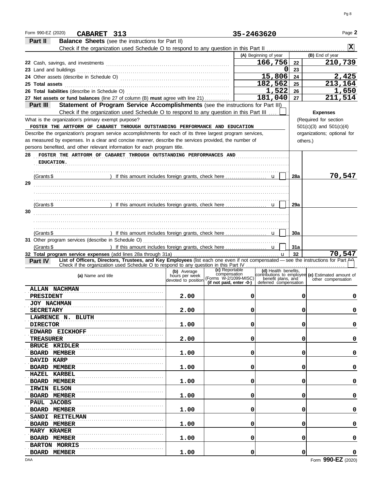| Form 990-EZ (2020)<br>CABARET 313                                                                                                                                                                                                                                                          |                               | 35-2463620               |                       |          | Page 2                                                                                                                                     |
|--------------------------------------------------------------------------------------------------------------------------------------------------------------------------------------------------------------------------------------------------------------------------------------------|-------------------------------|--------------------------|-----------------------|----------|--------------------------------------------------------------------------------------------------------------------------------------------|
| Part II<br><b>Balance Sheets</b> (see the instructions for Part II)                                                                                                                                                                                                                        |                               |                          |                       |          |                                                                                                                                            |
|                                                                                                                                                                                                                                                                                            |                               |                          |                       |          | $ {\bf x} $                                                                                                                                |
|                                                                                                                                                                                                                                                                                            |                               |                          | (A) Beginning of year |          | (B) End of year                                                                                                                            |
|                                                                                                                                                                                                                                                                                            |                               |                          | $166,756$ 22          |          | 210,739                                                                                                                                    |
| 23 Land and buildings <b>construction and all and analyzing and all analyzing and analyzing and all analyzing and a</b>                                                                                                                                                                    |                               |                          | 0                     | 23       |                                                                                                                                            |
|                                                                                                                                                                                                                                                                                            |                               |                          | 15,806                | 24       | 2,425                                                                                                                                      |
| 25 Total assets <b>25 Total</b> assets <b>25</b> Total assets <b>25</b> Total assets <b>25</b> Total assets <b>25</b> Total assets <b>25</b> Total assets <b>25</b> Total assets <b>25</b> Total assets <b>25</b> Total assets <b>25</b> Total assets <b>25</b> Total assets <b>25</b> Tot |                               |                          | 182,562               | 25       | 213,164                                                                                                                                    |
|                                                                                                                                                                                                                                                                                            |                               |                          | 1,522                 | 26       | 1,650                                                                                                                                      |
| 27 Net assets or fund balances (line 27 of column (B) must agree with line 21)                                                                                                                                                                                                             |                               |                          | 181,040               | 27       | 211,514                                                                                                                                    |
| Statement of Program Service Accomplishments (see the instructions for Part III)<br><b>Part III</b>                                                                                                                                                                                        |                               |                          |                       |          |                                                                                                                                            |
| Check if the organization used Schedule O to respond to any question in this Part III                                                                                                                                                                                                      |                               |                          |                       |          | <b>Expenses</b>                                                                                                                            |
| What is the organization's primary exempt purpose?                                                                                                                                                                                                                                         |                               |                          |                       |          | (Required for section                                                                                                                      |
| FOSTER THE ARTFORM OF CABARET THROUGH OUTSTANDING PERFORMANCE AND EDUCATION                                                                                                                                                                                                                |                               |                          |                       |          | $501(c)(3)$ and $501(c)(4)$                                                                                                                |
| Describe the organization's program service accomplishments for each of its three largest program services,                                                                                                                                                                                |                               |                          |                       |          | organizations; optional for                                                                                                                |
| as measured by expenses. In a clear and concise manner, describe the services provided, the number of                                                                                                                                                                                      |                               |                          |                       | others.) |                                                                                                                                            |
| persons benefited, and other relevant information for each program title.                                                                                                                                                                                                                  |                               |                          |                       |          |                                                                                                                                            |
| FOSTER THE ARTFORM OF CABARET THROUGH OUTSTANDING PERFORMANCES AND<br>28                                                                                                                                                                                                                   |                               |                          |                       |          |                                                                                                                                            |
| EDUCATION.                                                                                                                                                                                                                                                                                 |                               |                          |                       |          |                                                                                                                                            |
|                                                                                                                                                                                                                                                                                            |                               |                          |                       |          |                                                                                                                                            |
| (Grants \$                                                                                                                                                                                                                                                                                 |                               |                          | $\mathbf{u}$          | 28a      | 70,547                                                                                                                                     |
| 29                                                                                                                                                                                                                                                                                         |                               |                          |                       |          |                                                                                                                                            |
|                                                                                                                                                                                                                                                                                            |                               |                          |                       |          |                                                                                                                                            |
|                                                                                                                                                                                                                                                                                            |                               |                          |                       | 29a      |                                                                                                                                            |
| (Grants \$<br>30                                                                                                                                                                                                                                                                           |                               |                          |                       |          |                                                                                                                                            |
|                                                                                                                                                                                                                                                                                            |                               |                          |                       |          |                                                                                                                                            |
|                                                                                                                                                                                                                                                                                            |                               |                          |                       |          |                                                                                                                                            |
| (Grants $$$                                                                                                                                                                                                                                                                                |                               |                          |                       | 30a      |                                                                                                                                            |
|                                                                                                                                                                                                                                                                                            |                               |                          |                       |          |                                                                                                                                            |
| (Grants \$                                                                                                                                                                                                                                                                                 |                               |                          |                       | 31a      |                                                                                                                                            |
| 32 Total program service expenses (add lines 28a through 31a)                                                                                                                                                                                                                              |                               |                          |                       | 32       | 70,547                                                                                                                                     |
| List of Officers, Directors, Trustees, and Key Employees (list each one even if not compensated — see the instructions for Part $\mu$ )<br>Check if the organization used Schedule O to respond to any question in this Part IV<br>Part IV                                                 |                               |                          |                       |          |                                                                                                                                            |
|                                                                                                                                                                                                                                                                                            |                               |                          |                       |          |                                                                                                                                            |
| (a) Name and title                                                                                                                                                                                                                                                                         | (b) Average<br>hours per week |                          |                       |          | (c) Reportable<br>compensation contributions to employee (e) Estimated amount of<br>(forms W-2/1099-MISC) benefit plans. and<br>(forms and |
|                                                                                                                                                                                                                                                                                            | devoted to position           | (if not paid, enter -0-) | deferred compensation |          |                                                                                                                                            |
| <b>ALLAN NACHMAN</b>                                                                                                                                                                                                                                                                       |                               |                          |                       |          |                                                                                                                                            |
| <b>LKESTDEMT</b>                                                                                                                                                                                                                                                                           | 2.00                          | 0                        |                       | 0        | 0                                                                                                                                          |
| JOY NACHMAN                                                                                                                                                                                                                                                                                |                               |                          |                       |          |                                                                                                                                            |
| <b>SECRETARY</b>                                                                                                                                                                                                                                                                           | 2.00                          | 0                        |                       | 0        | 0                                                                                                                                          |
| LAWRENCE N. BLUTH                                                                                                                                                                                                                                                                          |                               |                          |                       |          |                                                                                                                                            |
| <b>DIRECTOR</b>                                                                                                                                                                                                                                                                            | 1.00                          | 0                        |                       | 0        | 0                                                                                                                                          |
| EDWARD EICKHOFF                                                                                                                                                                                                                                                                            |                               |                          |                       |          |                                                                                                                                            |
| TREASURER                                                                                                                                                                                                                                                                                  | 2.00                          | 0                        |                       | 0        | 0                                                                                                                                          |
| <b>BRUCE KRIDLER</b>                                                                                                                                                                                                                                                                       |                               |                          |                       |          |                                                                                                                                            |
| <b>BOARD MEMBER</b>                                                                                                                                                                                                                                                                        | 1.00                          | 0                        |                       | 0        | $\mathbf 0$                                                                                                                                |
| DAVID KARP                                                                                                                                                                                                                                                                                 |                               |                          |                       |          |                                                                                                                                            |
| <b>BOARD MEMBER</b>                                                                                                                                                                                                                                                                        | 1.00                          | 0                        |                       | 0        | $\pmb{0}$                                                                                                                                  |
| <b>HAZEL KARBEL</b>                                                                                                                                                                                                                                                                        |                               |                          |                       |          |                                                                                                                                            |
| <b>BOARD MEMBER</b>                                                                                                                                                                                                                                                                        | 1.00                          | 0                        |                       | 0        | $\mathbf 0$                                                                                                                                |
| IRWIN ELSON                                                                                                                                                                                                                                                                                |                               |                          |                       |          |                                                                                                                                            |
| <b>BOARD MEMBER</b>                                                                                                                                                                                                                                                                        | 1.00                          | 0                        |                       | 0        | $\mathbf 0$                                                                                                                                |
| PAUL JACOBS                                                                                                                                                                                                                                                                                |                               |                          |                       |          |                                                                                                                                            |
| <b>BOARD MEMBER</b>                                                                                                                                                                                                                                                                        | 1.00                          | 0                        |                       | 0        | $\mathbf 0$                                                                                                                                |
| SANDI REITELMAN                                                                                                                                                                                                                                                                            |                               |                          |                       | 0        | $\mathbf 0$                                                                                                                                |
| <b>BOARD MEMBER</b>                                                                                                                                                                                                                                                                        | 1.00                          | 0                        |                       |          |                                                                                                                                            |
| <b>MARY KRAMER</b>                                                                                                                                                                                                                                                                         | 1.00                          | 0                        |                       | 0        | $\mathbf 0$                                                                                                                                |
| <b>BOARD MEMBER</b>                                                                                                                                                                                                                                                                        |                               |                          |                       |          |                                                                                                                                            |
| <b>BARTON MORRIS</b><br><b>BOARD MEMBER</b>                                                                                                                                                                                                                                                | 1.00                          | 0                        |                       | 0        | 0                                                                                                                                          |
|                                                                                                                                                                                                                                                                                            |                               |                          |                       |          |                                                                                                                                            |

DAA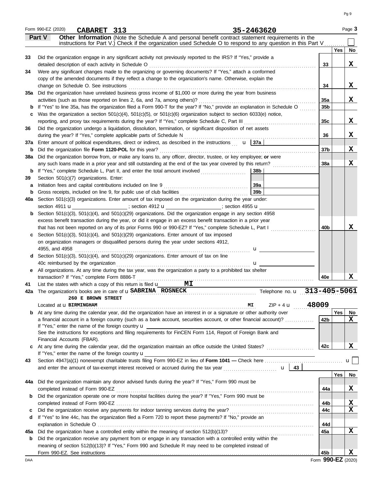|     | Form 990-EZ (2020)<br>CABARET 313<br>35-2463620                                                                                                                                                                        |                 |            | Page 3       |
|-----|------------------------------------------------------------------------------------------------------------------------------------------------------------------------------------------------------------------------|-----------------|------------|--------------|
|     | Other Information (Note the Schedule A and personal benefit contract statement requirements in the<br>Part V                                                                                                           |                 |            |              |
|     | instructions for Part V.) Check if the organization used Schedule O to respond to any question in this Part V                                                                                                          |                 | <b>Yes</b> | No           |
| 33  | Did the organization engage in any significant activity not previously reported to the IRS? If "Yes," provide a                                                                                                        |                 |            |              |
|     | detailed description of each activity in Schedule O                                                                                                                                                                    | 33              |            | X            |
| 34  | Were any significant changes made to the organizing or governing documents? If "Yes," attach a conformed                                                                                                               |                 |            |              |
|     | copy of the amended documents if they reflect a change to the organization's name. Otherwise, explain the                                                                                                              |                 |            |              |
|     | change on Schedule O. See instructions                                                                                                                                                                                 | 34              |            | X            |
| 35а | Did the organization have unrelated business gross income of \$1,000 or more during the year from business                                                                                                             |                 |            |              |
|     | activities (such as those reported on lines 2, 6a, and 7a, among others)?                                                                                                                                              | 35a             |            | X            |
| b   | If "Yes" to line 35a, has the organization filed a Form 990-T for the year? If "No," provide an explanation in Schedule O                                                                                              | 35 <sub>b</sub> |            |              |
| c   | Was the organization a section $501(c)(4)$ , $501(c)(5)$ , or $501(c)(6)$ organization subject to section $6033(e)$ notice,                                                                                            |                 |            |              |
|     | reporting, and proxy tax requirements during the year? If "Yes," complete Schedule C, Part III                                                                                                                         | 35c             |            | X            |
| 36  | Did the organization undergo a liquidation, dissolution, termination, or significant disposition of net assets                                                                                                         |                 |            |              |
|     | during the year? If "Yes," complete applicable parts of Schedule N                                                                                                                                                     | 36              |            | X            |
| 37a | Enter amount of political expenditures, direct or indirect, as described in the instructions $\mathbf{u}$   37a                                                                                                        |                 |            |              |
| b   | Did the organization file Form 1120-POL for this year?                                                                                                                                                                 | 37b             |            | X            |
| 38a | Did the organization borrow from, or make any loans to, any officer, director, trustee, or key employee; or were                                                                                                       |                 |            |              |
|     | any such loans made in a prior year and still outstanding at the end of the tax year covered by this return?                                                                                                           | 38a             |            | X            |
| b   | If "Yes," complete Schedule L, Part II, and enter the total amount involved<br>38b                                                                                                                                     |                 |            |              |
| 39  | Section 501(c)(7) organizations. Enter:                                                                                                                                                                                |                 |            |              |
| а   | Initiation fees and capital contributions included on line 9<br>39a                                                                                                                                                    |                 |            |              |
| b   | 39b<br>Gross receipts, included on line 9, for public use of club facilities                                                                                                                                           |                 |            |              |
| 40a | Section 501(c)(3) organizations. Enter amount of tax imposed on the organization during the year under:                                                                                                                |                 |            |              |
|     | section 4911 $\mathbf u$<br>; section 4912 $\bf u$<br>$\sim$ section 4955 <b>u</b>                                                                                                                                     |                 |            |              |
| b   | Section 501(c)(3), 501(c)(4), and 501(c)(29) organizations. Did the organization engage in any section 4958                                                                                                            |                 |            |              |
|     | excess benefit transaction during the year, or did it engage in an excess benefit transaction in a prior year                                                                                                          |                 |            |              |
|     | that has not been reported on any of its prior Forms 990 or 990-EZ? If "Yes," complete Schedule L, Part I                                                                                                              | 40b             |            | X            |
| c   | Section $501(c)(3)$ , $501(c)(4)$ , and $501(c)(29)$ organizations. Enter amount of tax imposed                                                                                                                        |                 |            |              |
|     | on organization managers or disqualified persons during the year under sections 4912,                                                                                                                                  |                 |            |              |
|     | 4955, and 4958<br>u                                                                                                                                                                                                    |                 |            |              |
| d   | Section $501(c)(3)$ , $501(c)(4)$ , and $501(c)(29)$ organizations. Enter amount of tax on line                                                                                                                        |                 |            |              |
|     | 40c reimbursed by the organization<br>u                                                                                                                                                                                |                 |            |              |
| е   | All organizations. At any time during the tax year, was the organization a party to a prohibited tax shelter                                                                                                           |                 |            |              |
|     | transaction? If "Yes," complete Form 8886-T                                                                                                                                                                            | 40e             |            | x            |
| 41  | МI<br>List the states with which a copy of this return is filed $\mathbf u$                                                                                                                                            |                 |            |              |
|     | The organization's books are in care of $\bf{u}$ SABRINA ROSNECK Term is relephone no. $\bf{u}$ . 313-405-5061                                                                                                         |                 |            |              |
|     | 260 E BROWN STREET                                                                                                                                                                                                     |                 |            |              |
|     | $ZIP + 4$ <b>u</b><br>Located at <b>u BIRMINGHAM</b><br>МI                                                                                                                                                             | 48009           |            |              |
| b   | At any time during the calendar year, did the organization have an interest in or a signature or other authority over                                                                                                  |                 | <b>Yes</b> | No           |
|     | a financial account in a foreign country (such as a bank account, securities account, or other financial account)?                                                                                                     | 42 <sub>b</sub> |            | $\mathbf x$  |
|     | If "Yes," enter the name of the foreign country $\mathbf{u}$                                                                                                                                                           |                 |            |              |
|     | See the instructions for exceptions and filing requirements for FinCEN Form 114, Report of Foreign Bank and                                                                                                            |                 |            |              |
|     | Financial Accounts (FBAR).                                                                                                                                                                                             | 42c             |            | X            |
| c   | At any time during the calendar year, did the organization maintain an office outside the United States?                                                                                                               |                 |            |              |
| 43  | If "Yes," enter the name of the foreign country <b>u</b>                                                                                                                                                               |                 |            | $\mathbf{u}$ |
|     |                                                                                                                                                                                                                        |                 |            |              |
|     |                                                                                                                                                                                                                        |                 | <b>Yes</b> | No           |
|     | Did the organization maintain any donor advised funds during the year? If "Yes," Form 990 must be                                                                                                                      |                 |            |              |
| 44a |                                                                                                                                                                                                                        | 44a             |            | X            |
|     | Did the organization operate one or more hospital facilities during the year? If "Yes," Form 990 must be                                                                                                               |                 |            |              |
| b   |                                                                                                                                                                                                                        | 44b             |            | X            |
|     |                                                                                                                                                                                                                        | 44c             |            | X            |
| c   |                                                                                                                                                                                                                        |                 |            |              |
| d   | If "Yes" to line 44c, has the organization filed a Form 720 to report these payments? If "No," provide an                                                                                                              |                 |            |              |
|     | Did the organization have a controlled entity within the meaning of section 512(b)(13)?                                                                                                                                | 44d<br>45a      |            | $\mathbf x$  |
| 45a |                                                                                                                                                                                                                        |                 |            |              |
| b   | Did the organization receive any payment from or engage in any transaction with a controlled entity within the<br>meaning of section 512(b)(13)? If "Yes," Form 990 and Schedule R may need to be completed instead of |                 |            |              |
|     |                                                                                                                                                                                                                        | 45b             |            | X            |
|     |                                                                                                                                                                                                                        |                 |            |              |

Form **990-EZ** (2020)

| ۰. |  |
|----|--|
|    |  |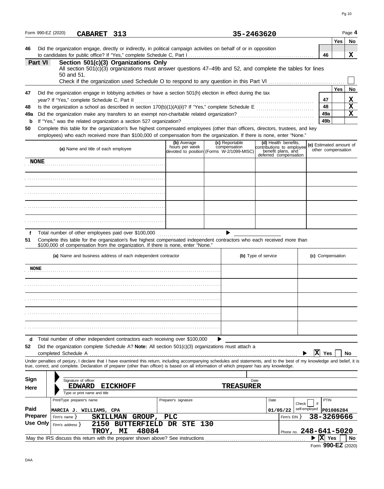|                         | Form 990-EZ (2020) |                     | CABARET 313                                                           |      |                 |                                                                    |                                                                                                                                                                                                                                                                                                                          | 35-2463620                     |                                                                          |                          |                        |                                               |            | Page 4      |
|-------------------------|--------------------|---------------------|-----------------------------------------------------------------------|------|-----------------|--------------------------------------------------------------------|--------------------------------------------------------------------------------------------------------------------------------------------------------------------------------------------------------------------------------------------------------------------------------------------------------------------------|--------------------------------|--------------------------------------------------------------------------|--------------------------|------------------------|-----------------------------------------------|------------|-------------|
| 46                      |                    |                     |                                                                       |      |                 |                                                                    | Did the organization engage, directly or indirectly, in political campaign activities on behalf of or in opposition                                                                                                                                                                                                      |                                |                                                                          |                          |                        | 46                                            | <b>Yes</b> | No<br>X     |
|                         | <b>Part VI</b>     |                     | 50 and 51.                                                            |      |                 | Section 501(c)(3) Organizations Only                               | All section 501(c)(3) organizations must answer questions 47-49b and 52, and complete the tables for lines                                                                                                                                                                                                               |                                |                                                                          |                          |                        |                                               |            |             |
| 47                      |                    |                     |                                                                       |      |                 |                                                                    | Did the organization engage in lobbying activities or have a section 501(h) election in effect during the tax                                                                                                                                                                                                            |                                |                                                                          |                          |                        | 47                                            | <b>Yes</b> | No          |
| 48<br>49a               |                    |                     | year? If "Yes," complete Schedule C, Part II                          |      |                 |                                                                    |                                                                                                                                                                                                                                                                                                                          |                                |                                                                          |                          |                        | 48<br>49a                                     |            | X<br>X<br>X |
| b<br>50                 |                    |                     |                                                                       |      |                 | If "Yes," was the related organization a section 527 organization? | Complete this table for the organization's five highest compensated employees (other than officers, directors, trustees, and key                                                                                                                                                                                         |                                |                                                                          |                          |                        | 49b                                           |            |             |
|                         |                    |                     | (a) Name and title of each employee                                   |      |                 |                                                                    | employees) who each received more than \$100,000 of compensation from the organization. If there is none, enter "None."<br>(b) Average<br>hours per week<br>devoted to position (Forms W-2/1099-MISC)                                                                                                                    | (c) Reportable<br>compensation | contributions to employee<br>benefit plans, and<br>deferred compensation | (d) Health benefits,     |                        | (e) Estimated amount of<br>other compensation |            |             |
| <b>NONE</b>             |                    |                     |                                                                       |      |                 |                                                                    |                                                                                                                                                                                                                                                                                                                          |                                |                                                                          |                          |                        |                                               |            |             |
|                         |                    |                     |                                                                       |      |                 |                                                                    |                                                                                                                                                                                                                                                                                                                          |                                |                                                                          |                          |                        |                                               |            |             |
|                         |                    |                     |                                                                       |      |                 |                                                                    |                                                                                                                                                                                                                                                                                                                          |                                |                                                                          |                          |                        |                                               |            |             |
|                         |                    |                     |                                                                       |      |                 |                                                                    |                                                                                                                                                                                                                                                                                                                          |                                |                                                                          |                          |                        |                                               |            |             |
|                         |                    |                     |                                                                       |      |                 |                                                                    |                                                                                                                                                                                                                                                                                                                          |                                |                                                                          |                          |                        |                                               |            |             |
| f<br>51                 |                    |                     | Total number of other employees paid over \$100,000                   |      |                 |                                                                    | Complete this table for the organization's five highest compensated independent contractors who each received more than<br>\$100,000 of compensation from the organization. If there is none, enter "None."                                                                                                              |                                |                                                                          |                          |                        |                                               |            |             |
|                         |                    |                     |                                                                       |      |                 | (a) Name and business address of each independent contractor       |                                                                                                                                                                                                                                                                                                                          |                                | (b) Type of service                                                      |                          |                        | (c) Compensation                              |            |             |
| <b>NONE</b>             |                    |                     |                                                                       |      |                 |                                                                    |                                                                                                                                                                                                                                                                                                                          |                                |                                                                          |                          |                        |                                               |            |             |
|                         |                    |                     |                                                                       |      |                 |                                                                    |                                                                                                                                                                                                                                                                                                                          |                                |                                                                          |                          |                        |                                               |            |             |
|                         |                    |                     |                                                                       |      |                 |                                                                    |                                                                                                                                                                                                                                                                                                                          |                                |                                                                          |                          |                        |                                               |            |             |
|                         |                    |                     |                                                                       |      |                 |                                                                    |                                                                                                                                                                                                                                                                                                                          |                                |                                                                          |                          |                        |                                               |            |             |
|                         |                    |                     |                                                                       |      |                 |                                                                    | Total number of other independent contractors each receiving over \$100,000                                                                                                                                                                                                                                              |                                |                                                                          |                          |                        |                                               |            |             |
| d<br>52                 |                    |                     |                                                                       |      |                 |                                                                    | Did the organization complete Schedule A? Note: All section $501(c)(3)$ organizations must attach a                                                                                                                                                                                                                      |                                |                                                                          |                          |                        | X<br>Yes                                      |            | No          |
|                         |                    |                     |                                                                       |      |                 |                                                                    | Under penalties of perjury, I declare that I have examined this return, including accompanying schedules and statements, and to the best of my knowledge and belief, it is<br>true, correct, and complete. Declaration of preparer (other than officer) is based on all information of which preparer has any knowledge. |                                |                                                                          |                          |                        |                                               |            |             |
| Sign<br>Here            |                    |                     | Signature of officer<br><b>EDWARD</b><br>Type or print name and title |      | <b>EICKHOFF</b> |                                                                    |                                                                                                                                                                                                                                                                                                                          | Date<br>TREASURER              |                                                                          |                          |                        |                                               |            |             |
| Paid<br><b>Preparer</b> |                    | Firm's name $\}$    | Print/Type preparer's name<br>MARCIA J. WILLIAMS, CPA                 |      | <b>SKILLMAN</b> | GROUP,                                                             | Preparer's signature<br>PLC                                                                                                                                                                                                                                                                                              |                                | Date                                                                     | 01/05/22<br>Firm's EIN } | Check<br>self-employed | <b>PTIN</b><br>if<br>38-3269666               | P01086284  |             |
| <b>Use Only</b>         |                    | Firm's address $\}$ |                                                                       | 2150 | TROY, MI        | 48084                                                              | BUTTERFIELD DR STE 130                                                                                                                                                                                                                                                                                                   |                                |                                                                          |                          |                        | Phone no. 248-641-5020                        |            |             |
|                         |                    |                     |                                                                       |      |                 |                                                                    | May the IRS discuss this return with the preparer shown above? See instructions                                                                                                                                                                                                                                          |                                |                                                                          |                          |                        | X Yes<br>Form 990-EZ (2020)                   |            | <b>No</b>   |

Pg 10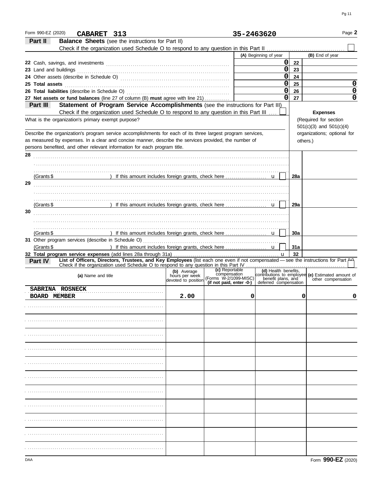| Form 990-EZ (2020)<br>CABARET 313                                                                                                                                              |                     | 35-2463620                              |                       |            | Page 2                                                                    |
|--------------------------------------------------------------------------------------------------------------------------------------------------------------------------------|---------------------|-----------------------------------------|-----------------------|------------|---------------------------------------------------------------------------|
| <b>Balance Sheets</b> (see the instructions for Part II)<br>Part II                                                                                                            |                     |                                         |                       |            |                                                                           |
|                                                                                                                                                                                |                     |                                         |                       |            |                                                                           |
|                                                                                                                                                                                |                     |                                         | (A) Beginning of year |            | (B) End of year                                                           |
|                                                                                                                                                                                |                     |                                         | 0                     | 22         |                                                                           |
| 23 Land and buildings                                                                                                                                                          |                     |                                         | 0                     | 23         |                                                                           |
|                                                                                                                                                                                |                     |                                         | 0                     | 24         |                                                                           |
| 25 Total assets                                                                                                                                                                |                     |                                         | 0                     | 25         | $\mathbf 0$                                                               |
|                                                                                                                                                                                |                     |                                         | 0                     | 26         | $\mathbf 0$                                                               |
| 27 Net assets or fund balances (line 27 of column (B) must agree with line 21)                                                                                                 |                     |                                         | 0                     | 27         | 0                                                                         |
| Statement of Program Service Accomplishments (see the instructions for Part III)<br>Part III                                                                                   |                     |                                         |                       |            |                                                                           |
| Check if the organization used Schedule O to respond to any question in this Part III                                                                                          |                     |                                         |                       |            | <b>Expenses</b>                                                           |
| What is the organization's primary exempt purpose?                                                                                                                             |                     |                                         |                       |            | (Required for section                                                     |
|                                                                                                                                                                                |                     |                                         |                       |            | $501(c)(3)$ and $501(c)(4)$                                               |
| Describe the organization's program service accomplishments for each of its three largest program services,                                                                    |                     |                                         |                       |            | organizations; optional for                                               |
| as measured by expenses. In a clear and concise manner, describe the services provided, the number of                                                                          |                     |                                         |                       |            | others.)                                                                  |
| persons benefited, and other relevant information for each program title.                                                                                                      |                     |                                         |                       |            |                                                                           |
| 28                                                                                                                                                                             |                     |                                         |                       |            |                                                                           |
|                                                                                                                                                                                |                     |                                         |                       |            |                                                                           |
|                                                                                                                                                                                |                     |                                         |                       |            |                                                                           |
| (Grants \$                                                                                                                                                                     |                     |                                         | $\mathbf{u}$          | <b>28a</b> |                                                                           |
| 29                                                                                                                                                                             |                     |                                         |                       |            |                                                                           |
|                                                                                                                                                                                |                     |                                         |                       |            |                                                                           |
|                                                                                                                                                                                |                     |                                         |                       |            |                                                                           |
| (Grants $$$                                                                                                                                                                    |                     |                                         |                       | 29a        |                                                                           |
| 30                                                                                                                                                                             |                     |                                         |                       |            |                                                                           |
|                                                                                                                                                                                |                     |                                         |                       |            |                                                                           |
|                                                                                                                                                                                |                     |                                         |                       |            |                                                                           |
| (Grants $$$                                                                                                                                                                    |                     |                                         |                       | 30a        |                                                                           |
|                                                                                                                                                                                |                     |                                         |                       |            |                                                                           |
| (Grants \$                                                                                                                                                                     |                     |                                         |                       | 31a        |                                                                           |
|                                                                                                                                                                                |                     |                                         | u                     | 32         |                                                                           |
| List of Officers, Directors, Trustees, and Key Employees (list each one even if not compensated - see the instructions for Part PA<br>Part IV                                  |                     |                                         |                       |            |                                                                           |
| Check if the organization used Schedule O to respond to any question in this Part IV [11] Check if the organization used Schedule O to respond to any question in this Part IV | (b) Average         | (c) Reportable                          |                       |            |                                                                           |
| (a) Name and title                                                                                                                                                             | hours per week      | compensation<br>$(Forms W-2/1099-MISC)$ | benefit plans, and    |            | (d) Health benefits,<br>contributions to employee (e) Estimated amount of |
|                                                                                                                                                                                | devoted to position | (if not paid, enter -0-)                | deferred compensation |            | other compensation                                                        |
| SABRINA ROSNECK                                                                                                                                                                |                     |                                         |                       |            |                                                                           |
| <b>BOARD MEMBER</b>                                                                                                                                                            | 2.00                | 0                                       |                       | 0          | 0                                                                         |
|                                                                                                                                                                                |                     |                                         |                       |            |                                                                           |
|                                                                                                                                                                                |                     |                                         |                       |            |                                                                           |
|                                                                                                                                                                                |                     |                                         |                       |            |                                                                           |
|                                                                                                                                                                                |                     |                                         |                       |            |                                                                           |
|                                                                                                                                                                                |                     |                                         |                       |            |                                                                           |
|                                                                                                                                                                                |                     |                                         |                       |            |                                                                           |
|                                                                                                                                                                                |                     |                                         |                       |            |                                                                           |
|                                                                                                                                                                                |                     |                                         |                       |            |                                                                           |
|                                                                                                                                                                                |                     |                                         |                       |            |                                                                           |
|                                                                                                                                                                                |                     |                                         |                       |            |                                                                           |
|                                                                                                                                                                                |                     |                                         |                       |            |                                                                           |
|                                                                                                                                                                                |                     |                                         |                       |            |                                                                           |
|                                                                                                                                                                                |                     |                                         |                       |            |                                                                           |
|                                                                                                                                                                                |                     |                                         |                       |            |                                                                           |
|                                                                                                                                                                                |                     |                                         |                       |            |                                                                           |
|                                                                                                                                                                                |                     |                                         |                       |            |                                                                           |
|                                                                                                                                                                                |                     |                                         |                       |            |                                                                           |
|                                                                                                                                                                                |                     |                                         |                       |            |                                                                           |
|                                                                                                                                                                                |                     |                                         |                       |            |                                                                           |
|                                                                                                                                                                                |                     |                                         |                       |            |                                                                           |
|                                                                                                                                                                                |                     |                                         |                       |            |                                                                           |
|                                                                                                                                                                                |                     |                                         |                       |            |                                                                           |
|                                                                                                                                                                                |                     |                                         |                       |            |                                                                           |

| ۰. |  |
|----|--|
|----|--|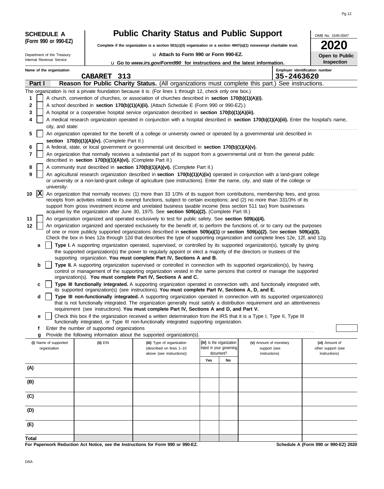| <b>SCHEDULE A</b>                          |                                                            | <b>Public Charity Status and Public Support</b>                                                                                                                                                                                                                 |                                                      |    |                                        |                                              | OMB No. 1545-0047                    |
|--------------------------------------------|------------------------------------------------------------|-----------------------------------------------------------------------------------------------------------------------------------------------------------------------------------------------------------------------------------------------------------------|------------------------------------------------------|----|----------------------------------------|----------------------------------------------|--------------------------------------|
| (Form 990 or 990-EZ)                       |                                                            | Complete if the organization is a section 501(c)(3) organization or a section 4947(a)(1) nonexempt charitable trust.                                                                                                                                            |                                                      |    |                                        |                                              |                                      |
| Department of the Treasury                 |                                                            | u Attach to Form 990 or Form 990-EZ.                                                                                                                                                                                                                            |                                                      |    |                                        |                                              | <b>Open to Public</b>                |
| Internal Revenue Service                   |                                                            | <b>u</b> Go to <i>www.irs.gov/Form990</i> for instructions and the latest information.                                                                                                                                                                          |                                                      |    |                                        |                                              | Inspection                           |
| Name of the organization                   | <b>CABARET</b><br>- 313                                    |                                                                                                                                                                                                                                                                 |                                                      |    |                                        | Employer identification number<br>35-2463620 |                                      |
| Part I                                     |                                                            | Reason for Public Charity Status. (All organizations must complete this part.) See instructions.                                                                                                                                                                |                                                      |    |                                        |                                              |                                      |
|                                            |                                                            | The organization is not a private foundation because it is: (For lines 1 through 12, check only one box.)                                                                                                                                                       |                                                      |    |                                        |                                              |                                      |
| 1                                          |                                                            | A church, convention of churches, or association of churches described in section 170(b)(1)(A)(i).                                                                                                                                                              |                                                      |    |                                        |                                              |                                      |
| 2<br>3                                     |                                                            | A school described in section 170(b)(1)(A)(ii). (Attach Schedule E (Form 990 or 990-EZ).)<br>A hospital or a cooperative hospital service organization described in section 170(b)(1)(A)(iii).                                                                  |                                                      |    |                                        |                                              |                                      |
| 4                                          |                                                            | A medical research organization operated in conjunction with a hospital described in section 170(b)(1)(A)(iii). Enter the hospital's name,                                                                                                                      |                                                      |    |                                        |                                              |                                      |
| city, and state:                           |                                                            |                                                                                                                                                                                                                                                                 |                                                      |    |                                        |                                              |                                      |
| 5                                          |                                                            | An organization operated for the benefit of a college or university owned or operated by a governmental unit described in                                                                                                                                       |                                                      |    |                                        |                                              |                                      |
| 6                                          | section 170(b)(1)(A)(iv). (Complete Part II.)              | A federal, state, or local government or governmental unit described in section 170(b)(1)(A)(v).                                                                                                                                                                |                                                      |    |                                        |                                              |                                      |
| $\overline{7}$                             | described in section 170(b)(1)(A)(vi). (Complete Part II.) | An organization that normally receives a substantial part of its support from a governmental unit or from the general public                                                                                                                                    |                                                      |    |                                        |                                              |                                      |
| 8                                          |                                                            | A community trust described in section 170(b)(1)(A)(vi). (Complete Part II.)                                                                                                                                                                                    |                                                      |    |                                        |                                              |                                      |
| 9<br>university:                           |                                                            | An agricultural research organization described in section 170(b)(1)(A)(ix) operated in conjunction with a land-grant college<br>or university or a non-land-grant college of agriculture (see instructions). Enter the name, city, and state of the college or |                                                      |    |                                        |                                              |                                      |
| $ {\bf x} $<br>10                          |                                                            | An organization that normally receives: (1) more than 33 1/3% of its support from contributions, membership fees, and gross<br>receipts from activities related to its exempt functions, subject to certain exceptions; and (2) no more than 331/3% of its      |                                                      |    |                                        |                                              |                                      |
|                                            |                                                            | support from gross investment income and unrelated business taxable income (less section 511 tax) from businesses<br>acquired by the organization after June 30, 1975. See section 509(a)(2). (Complete Part III.)                                              |                                                      |    |                                        |                                              |                                      |
| 11                                         |                                                            | An organization organized and operated exclusively to test for public safety. See section 509(a)(4).                                                                                                                                                            |                                                      |    |                                        |                                              |                                      |
| 12                                         |                                                            | An organization organized and operated exclusively for the benefit of, to perform the functions of, or to carry out the purposes<br>of one or more publicly supported organizations described in section 509(a)(1) or section 509(a)(2). See section 509(a)(3). |                                                      |    |                                        |                                              |                                      |
|                                            |                                                            | Check the box in lines 12a through 12d that describes the type of supporting organization and complete lines 12e, 12f, and 12g.                                                                                                                                 |                                                      |    |                                        |                                              |                                      |
| a                                          |                                                            | Type I. A supporting organization operated, supervised, or controlled by its supported organization(s), typically by giving<br>the supported organization(s) the power to regularly appoint or elect a majority of the directors or trustees of the             |                                                      |    |                                        |                                              |                                      |
| b                                          |                                                            | supporting organization. You must complete Part IV, Sections A and B.<br>Type II. A supporting organization supervised or controlled in connection with its supported organization(s), by having                                                                |                                                      |    |                                        |                                              |                                      |
|                                            |                                                            | control or management of the supporting organization vested in the same persons that control or manage the supported<br>organization(s). You must complete Part IV, Sections A and C.                                                                           |                                                      |    |                                        |                                              |                                      |
| c                                          |                                                            | Type III functionally integrated. A supporting organization operated in connection with, and functionally integrated with,<br>its supported organization(s) (see instructions). You must complete Part IV, Sections A, D, and E.                                |                                                      |    |                                        |                                              |                                      |
| d                                          |                                                            | Type III non-functionally integrated. A supporting organization operated in connection with its supported organization(s)<br>that is not functionally integrated. The organization generally must satisfy a distribution requirement and an attentiveness       |                                                      |    |                                        |                                              |                                      |
| е                                          |                                                            | requirement (see instructions). You must complete Part IV, Sections A and D, and Part V.<br>Check this box if the organization received a written determination from the IRS that it is a Type I, Type II, Type III                                             |                                                      |    |                                        |                                              |                                      |
|                                            |                                                            | functionally integrated, or Type III non-functionally integrated supporting organization.                                                                                                                                                                       |                                                      |    |                                        |                                              |                                      |
| f                                          | Enter the number of supported organizations                | Provide the following information about the supported organization(s).                                                                                                                                                                                          |                                                      |    |                                        |                                              |                                      |
| g<br>(i) Name of supported<br>organization | (ii) EIN                                                   | (iii) Type of organization<br>(described on lines 1-10                                                                                                                                                                                                          | (iv) Is the organization<br>listed in your governing |    | (v) Amount of monetary<br>support (see |                                              | (vi) Amount of<br>other support (see |
|                                            |                                                            | above (see instructions))                                                                                                                                                                                                                                       | document?<br>Yes                                     | No | instructions)                          |                                              | instructions)                        |
| (A)                                        |                                                            |                                                                                                                                                                                                                                                                 |                                                      |    |                                        |                                              |                                      |
| (B)                                        |                                                            |                                                                                                                                                                                                                                                                 |                                                      |    |                                        |                                              |                                      |
| (C)                                        |                                                            |                                                                                                                                                                                                                                                                 |                                                      |    |                                        |                                              |                                      |
| (D)                                        |                                                            |                                                                                                                                                                                                                                                                 |                                                      |    |                                        |                                              |                                      |
| (E)                                        |                                                            |                                                                                                                                                                                                                                                                 |                                                      |    |                                        |                                              |                                      |
| <b>Total</b>                               |                                                            |                                                                                                                                                                                                                                                                 |                                                      |    |                                        |                                              |                                      |
|                                            |                                                            | For Paperwork Reduction Act Notice, see the Instructions for Form 990 or 990-EZ.                                                                                                                                                                                |                                                      |    |                                        |                                              | Schedule A (Form 990 or 990-EZ) 2020 |

DAA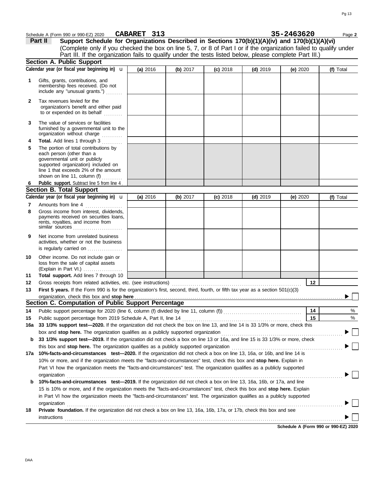|              | Support Schedule for Organizations Described in Sections 170(b)(1)(A)(iv) and 170(b)(1)(A)(vi)<br>Part II                                                                                                                      |          |          |            |            |          |           |
|--------------|--------------------------------------------------------------------------------------------------------------------------------------------------------------------------------------------------------------------------------|----------|----------|------------|------------|----------|-----------|
|              | (Complete only if you checked the box on line 5, 7, or 8 of Part I or if the organization failed to qualify under                                                                                                              |          |          |            |            |          |           |
|              | Part III. If the organization fails to qualify under the tests listed below, please complete Part III.)                                                                                                                        |          |          |            |            |          |           |
|              | Section A. Public Support                                                                                                                                                                                                      |          |          |            |            |          |           |
|              | Calendar year (or fiscal year beginning in) $\mathbf u$                                                                                                                                                                        | (a) 2016 | (b) 2017 | $(c)$ 2018 | $(d)$ 2019 | (e) 2020 | (f) Total |
| 1            | Gifts, grants, contributions, and<br>membership fees received. (Do not<br>include any "unusual grants.")                                                                                                                       |          |          |            |            |          |           |
| $\mathbf{2}$ | Tax revenues levied for the<br>organization's benefit and either paid<br>to or expended on its behalf                                                                                                                          |          |          |            |            |          |           |
| 3            | The value of services or facilities<br>furnished by a governmental unit to the<br>organization without charge<br>.                                                                                                             |          |          |            |            |          |           |
| 4            | Total. Add lines 1 through 3                                                                                                                                                                                                   |          |          |            |            |          |           |
| 5            | The portion of total contributions by<br>each person (other than a<br>governmental unit or publicly<br>supported organization) included on<br>line 1 that exceeds 2% of the amount<br>shown on line 11, column (f)             |          |          |            |            |          |           |
| 6            | Public support. Subtract line 5 from line 4.                                                                                                                                                                                   |          |          |            |            |          |           |
|              | <b>Section B. Total Support</b>                                                                                                                                                                                                |          |          |            |            |          |           |
|              | Calendar year (or fiscal year beginning in) <b>u</b>                                                                                                                                                                           | (a) 2016 | (b) 2017 | $(c)$ 2018 | $(d)$ 2019 | (e) 2020 | (f) Total |
| 7            | Amounts from line 4                                                                                                                                                                                                            |          |          |            |            |          |           |
| 8            | Gross income from interest, dividends,<br>payments received on securities loans,<br>rents, royalties, and income from<br>similar sources                                                                                       |          |          |            |            |          |           |
| 9            | Net income from unrelated business<br>activities, whether or not the business<br>is regularly carried on                                                                                                                       |          |          |            |            |          |           |
| 10           | Other income. Do not include gain or<br>loss from the sale of capital assets<br>(Explain in Part VI.)                                                                                                                          |          |          |            |            |          |           |
| 11           | Total support. Add lines 7 through 10                                                                                                                                                                                          |          |          |            |            |          |           |
| $12 \,$      |                                                                                                                                                                                                                                |          |          |            |            | 12       |           |
| 13           | First 5 years. If the Form 990 is for the organization's first, second, third, fourth, or fifth tax year as a section 501(c)(3)                                                                                                |          |          |            |            |          |           |
|              | organization, check this box and stop here contained and according to the state of the state of the state of the state of the state of the state of the state of the state of the state of the state of the state of the state |          |          |            |            |          |           |

Schedule A (Form 990 or 990-EZ) 2020 Page **2**

**CABARET 313 35-2463620**

|     | <b>There</b> yours. If the Form over the net the organization of their cooling, thing, router, or multically your do a occupit over(0)(0) |    |                                             |  |  |  |  |
|-----|-------------------------------------------------------------------------------------------------------------------------------------------|----|---------------------------------------------|--|--|--|--|
|     |                                                                                                                                           |    |                                             |  |  |  |  |
|     | Section C. Computation of Public Support Percentage                                                                                       |    |                                             |  |  |  |  |
| 14  | Public support percentage for 2020 (line 6, column (f) divided by line 11, column (f)) [[[[[[[[[[[[[[[[[[[[[[                             | 14 | %                                           |  |  |  |  |
| 15  | Public support percentage from 2019 Schedule A, Part II, line 14                                                                          | 15 | %                                           |  |  |  |  |
| 16а | 33 1/3% support test—2020. If the organization did not check the box on line 13, and line 14 is 33 1/3% or more, check this               |    |                                             |  |  |  |  |
|     | box and <b>stop here.</b> The organization qualifies as a publicly supported organization                                                 |    |                                             |  |  |  |  |
| b   | 33 1/3% support test—2019. If the organization did not check a box on line 13 or 16a, and line 15 is 33 1/3% or more, check               |    |                                             |  |  |  |  |
|     | this box and <b>stop here.</b> The organization qualifies as a publicly supported organization                                            |    |                                             |  |  |  |  |
| 17a | 10%-facts-and-circumstances test-2020. If the organization did not check a box on line 13, 16a, or 16b, and line 14 is                    |    |                                             |  |  |  |  |
|     | 10% or more, and if the organization meets the "facts-and-circumstances" test, check this box and <b>stop here.</b> Explain in            |    |                                             |  |  |  |  |
|     | Part VI how the organization meets the "facts-and-circumstances" test. The organization qualifies as a publicly supported                 |    |                                             |  |  |  |  |
|     | organization                                                                                                                              |    |                                             |  |  |  |  |
| b   | 10%-facts-and-circumstances test-2019. If the organization did not check a box on line 13, 16a, 16b, or 17a, and line                     |    |                                             |  |  |  |  |
|     | 15 is 10% or more, and if the organization meets the "facts-and-circumstances" test, check this box and <b>stop here.</b> Explain         |    |                                             |  |  |  |  |
|     | in Part VI how the organization meets the "facts-and-circumstances" test. The organization qualifies as a publicly supported              |    |                                             |  |  |  |  |
|     | organization                                                                                                                              |    |                                             |  |  |  |  |
| 18  | <b>Private foundation.</b> If the organization did not check a box on line 13, 16a, 16b, 17a, or 17b, check this box and see              |    |                                             |  |  |  |  |
|     | instructions                                                                                                                              |    |                                             |  |  |  |  |
|     |                                                                                                                                           |    | <b>Cohodule A (Form 000 or 000 FZ) 2020</b> |  |  |  |  |

**Schedule A (Form 990 or 990-EZ) 2020**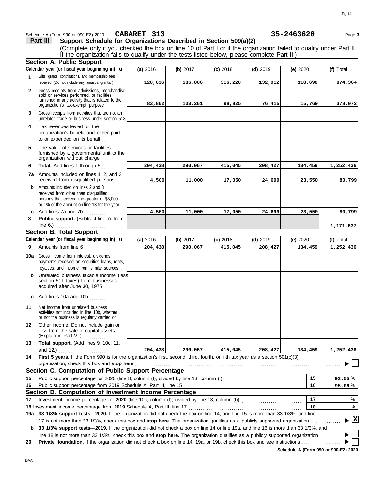|              | Part III<br>Support Schedule for Organizations Described in Section 509(a)(2)<br>(Complete only if you checked the box on line 10 of Part I or if the organization failed to qualify under Part II. |          |          |            |            |            |                         |
|--------------|-----------------------------------------------------------------------------------------------------------------------------------------------------------------------------------------------------|----------|----------|------------|------------|------------|-------------------------|
|              | If the organization fails to qualify under the tests listed below, please complete Part II.)                                                                                                        |          |          |            |            |            |                         |
|              | <b>Section A. Public Support</b>                                                                                                                                                                    |          |          |            |            |            |                         |
|              | Calendar year (or fiscal year beginning in) $\mathbf u$                                                                                                                                             | (a) 2016 | (b) 2017 | $(c)$ 2018 | $(d)$ 2019 | (e) $2020$ | (f) Total               |
| $\mathbf{1}$ | Gifts, grants, contributions, and membership fees<br>received. (Do not include any "unusual grants.")                                                                                               | 120,636  | 186,806  | 316,220    | 132,012    | 118,690    | 874,364                 |
| $\mathbf{2}$ | Gross receipts from admissions, merchandise<br>sold or services performed, or facilities<br>furnished in any activity that is related to the<br>organization's tax-exempt purpose                   | 83,802   | 103,261  | 98,825     | 76,415     | 15,769     | 378,072                 |
| 3            | Gross receipts from activities that are not an<br>unrelated trade or business under section 513                                                                                                     |          |          |            |            |            |                         |
| 4            | Tax revenues levied for the<br>organization's benefit and either paid<br>to or expended on its behalf<br>.                                                                                          |          |          |            |            |            |                         |
| 5            | The value of services or facilities<br>furnished by a governmental unit to the<br>organization without charge                                                                                       |          |          |            |            |            |                         |
| 6            | Total. Add lines 1 through 5                                                                                                                                                                        | 204,438  | 290,067  | 415,045    | 208,427    | 134,459    | 1,252,436               |
|              | 7a Amounts included on lines 1, 2, and 3<br>received from disqualified persons                                                                                                                      | 4,500    | 11,000   | 17,050     | 24,699     | 23,550     | 80,799                  |
|              | <b>b</b> Amounts included on lines 2 and 3<br>received from other than disqualified<br>persons that exceed the greater of \$5,000<br>or 1% of the amount on line 13 for the year                    |          |          |            |            |            |                         |
| C            | Add lines 7a and 7b                                                                                                                                                                                 | 4,500    | 11,000   | 17,050     | 24,699     | 23,550     | 80,799                  |
| 8            | Public support. (Subtract line 7c from                                                                                                                                                              |          |          |            |            |            | 1,171,637               |
|              | <b>Section B. Total Support</b>                                                                                                                                                                     |          |          |            |            |            |                         |
|              | Calendar year (or fiscal year beginning in) $\mathbf u$                                                                                                                                             | (a) 2016 | (b) 2017 | (c) 2018   | $(d)$ 2019 | (e) 2020   | (f) Total               |
| 9            | Amounts from line 6                                                                                                                                                                                 | 204,438  | 290,067  | 415,045    | 208,427    | 134,459    | 1,252,436               |
| 10a          | Gross income from interest, dividends,<br>payments received on securities loans, rents,<br>royalties, and income from similar sources.                                                              |          |          |            |            |            |                         |
| b            | Unrelated business taxable income (less<br>section 511 taxes) from businesses<br>acquired after June 30, 1975                                                                                       |          |          |            |            |            |                         |
|              | c Add lines 10a and 10b $\ldots$                                                                                                                                                                    |          |          |            |            |            |                         |
| 11           | Net income from unrelated business<br>activities not included in line 10b, whether<br>or not the business is regularly carried on.                                                                  |          |          |            |            |            |                         |
| 12           | Other income. Do not include gain or<br>loss from the sale of capital assets<br>(Explain in Part VI.)                                                                                               |          |          |            |            |            |                         |
| 13           | Total support. (Add lines 9, 10c, 11,                                                                                                                                                               | 204,438  | 290,067  | 415,045    | 208,427    | 134,459    | 1,252,436               |
| 14           | First 5 years. If the Form 990 is for the organization's first, second, third, fourth, or fifth tax year as a section 501(c)(3)<br>organization, check this box and stop here                       |          |          |            |            |            |                         |
|              | Section C. Computation of Public Support Percentage                                                                                                                                                 |          |          |            |            |            |                         |
| 15           |                                                                                                                                                                                                     |          |          |            |            | 15         | 93.55%                  |
| 16           |                                                                                                                                                                                                     |          |          |            |            | 16         | 95.06%                  |
|              | Section D. Computation of Investment Income Percentage                                                                                                                                              |          |          |            |            |            |                         |
| 17           | 18 Investment income percentage from 2019 Schedule A, Part III, line 17                                                                                                                             |          |          |            |            | 17<br>18   | %<br>$\%$               |
|              | 19a 33 1/3% support tests-2020. If the organization did not check the box on line 14, and line 15 is more than 33 1/3%, and line                                                                    |          |          |            |            |            |                         |
|              | 17 is not more than 33 1/3%, check this box and stop here. The organization qualifies as a publicly supported organization                                                                          |          |          |            |            |            | $\mathbf{\overline{x}}$ |
|              | b 33 1/3% support tests-2019. If the organization did not check a box on line 14 or line 19a, and line 16 is more than 33 1/3%, and                                                                 |          |          |            |            |            |                         |

line 18 is not more than 33 1/3%, check this box and **stop here.** The organization qualifies as a publicly supported organization .......... ▶ □

**Schedule A (Form 990 or 990-EZ) 2020**

 $\blacktriangleright$   $\Box$ 

Schedule A (Form 990 or 990-EZ) 2020 CABARET 313<br> **Part III** Support Schedule for Organizations Described in Section 509(a)(2)<br>
Part III Support Schedule for Organizations Described in Section 509(a)(2)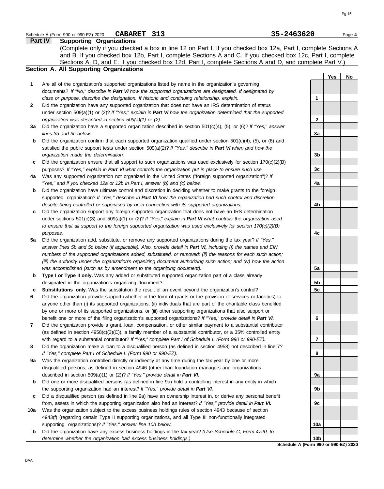|     | Part IV<br><b>Supporting Organizations</b>                                                                          |                 |            |     |
|-----|---------------------------------------------------------------------------------------------------------------------|-----------------|------------|-----|
|     | (Complete only if you checked a box in line 12 on Part I. If you checked box 12a, Part I, complete Sections A       |                 |            |     |
|     | and B. If you checked box 12b, Part I, complete Sections A and C. If you checked box 12c, Part I, complete          |                 |            |     |
|     | Sections A, D, and E. If you checked box 12d, Part I, complete Sections A and D, and complete Part V.)              |                 |            |     |
|     | Section A. All Supporting Organizations                                                                             |                 |            |     |
|     |                                                                                                                     |                 | <b>Yes</b> | No. |
| 1   | Are all of the organization's supported organizations listed by name in the organization's governing                |                 |            |     |
|     | documents? If "No," describe in Part VI how the supported organizations are designated. If designated by            |                 |            |     |
|     | class or purpose, describe the designation. If historic and continuing relationship, explain.                       | 1               |            |     |
| 2   | Did the organization have any supported organization that does not have an IRS determination of status              |                 |            |     |
|     | under section 509(a)(1) or (2)? If "Yes," explain in Part VI how the organization determined that the supported     |                 |            |     |
|     | organization was described in section 509(a)(1) or (2).                                                             | $\mathbf{2}$    |            |     |
| За  | Did the organization have a supported organization described in section $501(c)(4)$ , (5), or (6)? If "Yes," answer |                 |            |     |
|     | lines 3b and 3c below.                                                                                              | 3a              |            |     |
| b   | Did the organization confirm that each supported organization qualified under section $501(c)(4)$ , (5), or (6) and |                 |            |     |
|     | satisfied the public support tests under section 509(a)(2)? If "Yes," describe in Part VI when and how the          |                 |            |     |
|     | organization made the determination.                                                                                | 3b              |            |     |
| c   | Did the organization ensure that all support to such organizations was used exclusively for section $170(c)(2)(B)$  |                 |            |     |
|     | purposes? If "Yes," explain in Part VI what controls the organization put in place to ensure such use.              | 3c              |            |     |
| 4a  | Was any supported organization not organized in the United States ("foreign supported organization")? If            |                 |            |     |
|     | "Yes," and if you checked 12a or 12b in Part I, answer (b) and (c) below.                                           | 4a              |            |     |
| b   | Did the organization have ultimate control and discretion in deciding whether to make grants to the foreign         |                 |            |     |
|     | supported organization? If "Yes," describe in Part VI how the organization had such control and discretion          |                 |            |     |
|     | despite being controlled or supervised by or in connection with its supported organizations.                        | 4b              |            |     |
| c   | Did the organization support any foreign supported organization that does not have an IRS determination             |                 |            |     |
|     | under sections $501(c)(3)$ and $509(a)(1)$ or (2)? If "Yes," explain in Part VI what controls the organization used |                 |            |     |
|     |                                                                                                                     |                 |            |     |
|     | to ensure that all support to the foreign supported organization was used exclusively for section $170(c)(2)(B)$    |                 |            |     |
|     | purposes.                                                                                                           | 4c              |            |     |
| 5a  | Did the organization add, substitute, or remove any supported organizations during the tax year? If "Yes,"          |                 |            |     |
|     | answer lines 5b and 5c below (if applicable). Also, provide detail in Part VI, including (i) the names and EIN      |                 |            |     |
|     | numbers of the supported organizations added, substituted, or removed; (ii) the reasons for each such action;       |                 |            |     |
|     | (iii) the authority under the organization's organizing document authorizing such action; and (iv) how the action   |                 |            |     |
|     | was accomplished (such as by amendment to the organizing document).                                                 | 5a              |            |     |
| b   | Type I or Type II only. Was any added or substituted supported organization part of a class already                 |                 |            |     |
|     | designated in the organization's organizing document?                                                               | 5b              |            |     |
| c   | Substitutions only. Was the substitution the result of an event beyond the organization's control?                  | 5c              |            |     |
| 6   | Did the organization provide support (whether in the form of grants or the provision of services or facilities) to  |                 |            |     |
|     | anyone other than (i) its supported organizations, (ii) individuals that are part of the charitable class benefited |                 |            |     |
|     | by one or more of its supported organizations, or (iii) other supporting organizations that also support or         |                 |            |     |
|     | benefit one or more of the filing organization's supported organizations? If "Yes," provide detail in Part VI.      | 6               |            |     |
| 7   | Did the organization provide a grant, loan, compensation, or other similar payment to a substantial contributor     |                 |            |     |
|     | (as defined in section $4958(c)(3)(C)$ ), a family member of a substantial contributor, or a 35% controlled entity  |                 |            |     |
|     | with regard to a substantial contributor? If "Yes," complete Part I of Schedule L (Form 990 or 990-EZ).             | 7               |            |     |
| 8   | Did the organization make a loan to a disqualified person (as defined in section 4958) not described in line 7?     |                 |            |     |
|     | If "Yes," complete Part I of Schedule L (Form 990 or 990-EZ).                                                       | 8               |            |     |
| 9а  | Was the organization controlled directly or indirectly at any time during the tax year by one or more               |                 |            |     |
|     | disqualified persons, as defined in section 4946 (other than foundation managers and organizations                  |                 |            |     |
|     | described in section 509(a)(1) or (2))? If "Yes," provide detail in Part VI.                                        | 9а              |            |     |
| b   | Did one or more disqualified persons (as defined in line 9a) hold a controlling interest in any entity in which     |                 |            |     |
|     | the supporting organization had an interest? If "Yes," provide detail in Part VI.                                   | 9b              |            |     |
| c   | Did a disqualified person (as defined in line 9a) have an ownership interest in, or derive any personal benefit     |                 |            |     |
|     | from, assets in which the supporting organization also had an interest? If "Yes," provide detail in Part VI.        | 9c              |            |     |
| 10a | Was the organization subject to the excess business holdings rules of section 4943 because of section               |                 |            |     |
|     | 4943(f) (regarding certain Type II supporting organizations, and all Type III non-functionally integrated           |                 |            |     |
|     | supporting organizations)? If "Yes," answer line 10b below.                                                         | 10a             |            |     |
| b   | Did the organization have any excess business holdings in the tax year? (Use Schedule C, Form 4720, to              |                 |            |     |
|     | determine whether the organization had excess business holdings.)                                                   | 10 <sub>b</sub> |            |     |

**Schedule A (Form 990 or 990-EZ) 2020**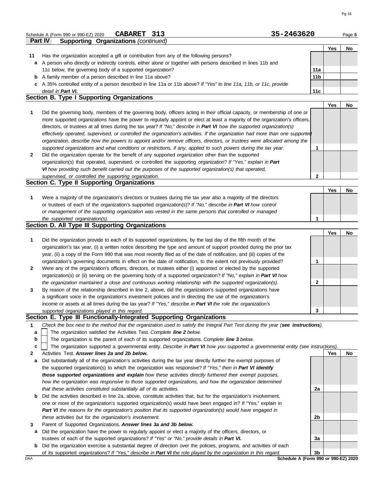Schedule A (Form 990 or 990-EZ) 2020 Page **5 CABARET 313 35-2463620**

**Part IV Supporting Organizations** *(continued)* **Yes No 11** Has the organization accepted a gift or contribution from any of the following persons? **c** A 35% controlled entity of a person described in line 11a or 11b above? *If "Yes" to line 11a, 11b, or 11c, provide* **b** A family member of a person described in line 11a above? **a** A person who directly or indirectly controls, either alone or together with persons described in lines 11b and 11c below, the governing body of a supported organization? *detail in Part VI.* **11a 11b 11c**

### **Section B. Type I Supporting Organizations**

|                                                                                                                                |   | Yes | No |
|--------------------------------------------------------------------------------------------------------------------------------|---|-----|----|
| Did the governing body, members of the governing body, officers acting in their official capacity, or membership of one or     |   |     |    |
| more supported organizations have the power to regularly appoint or elect at least a majority of the organization's officers,  |   |     |    |
| directors, or trustees at all times during the tax year? If "No," describe in Part VI how the supported organization(s)        |   |     |    |
| effectively operated, supervised, or controlled the organization's activities. If the organization had more than one supported |   |     |    |
| organization, describe how the powers to appoint and/or remove officers, directors, or trustees were allocated among the       |   |     |    |
| supported organizations and what conditions or restrictions, if any, applied to such powers during the tax year.               |   |     |    |
| Did the organization operate for the benefit of any supported organization other than the supported                            |   |     |    |
| organization(s) that operated, supervised, or controlled the supporting organization? If "Yes," explain in Part                |   |     |    |
| VI how providing such benefit carried out the purposes of the supported organization(s) that operated,                         |   |     |    |
| supervised, or controlled the supporting organization.                                                                         | າ |     |    |
| Section C. Type II Supporting Organizations                                                                                    |   |     |    |

#### Were a majority of the organization's directors or trustees during the tax year also a majority of the directors or trustees of each of the organization's supported organization(s)? *If "No," describe in Part VI how control* **1** *or management of the supporting organization was vested in the same persons that controlled or managed the supported organization(s).* **Yes No 1**

### **Section D. All Type III Supporting Organizations**

|                |                                                                                                                        |   | Yes | No |
|----------------|------------------------------------------------------------------------------------------------------------------------|---|-----|----|
|                | Did the organization provide to each of its supported organizations, by the last day of the fifth month of the         |   |     |    |
|                | organization's tax year, (i) a written notice describing the type and amount of support provided during the prior tax  |   |     |    |
|                | year, (ii) a copy of the Form 990 that was most recently filed as of the date of notification, and (iii) copies of the |   |     |    |
|                | organization's governing documents in effect on the date of notification, to the extent not previously provided?       |   |     |    |
| $\overline{2}$ | Were any of the organization's officers, directors, or trustees either (i) appointed or elected by the supported       |   |     |    |
|                | organization(s) or (ii) serving on the governing body of a supported organization? If "No," explain in Part VI how     |   |     |    |
|                | the organization maintained a close and continuous working relationship with the supported organization(s).            | າ |     |    |
| $\mathbf{3}$   | By reason of the relationship described in line 2, above, did the organization's supported organizations have          |   |     |    |
|                | a significant voice in the organization's investment policies and in directing the use of the organization's           |   |     |    |
|                | income or assets at all times during the tax year? If "Yes," describe in Part VI the role the organization's           |   |     |    |
|                | supported organizations played in this regard.                                                                         | ີ |     |    |

### **Section E. Type III Functionally-Integrated Supporting Organizations**

- **1** *Check the box next to the method that the organization used to satisfy the Integral Part Test during the year (see instructions).*
	- The organization satisfied the Activities Test. *Complete line 2 below.* **a**
	- The organization is the parent of each of its supported organizations. *Complete line 3 below.* **b**
	- The organization supported a governmental entity. *Describe in Part VI how you supported a governmental entity (see instructions).* **c**
- **2** Activities Test. *Answer lines 2a and 2b below.*
- **a** Did substantially all of the organization's activities during the tax year directly further the exempt purposes of the supported organization(s) to which the organization was responsive? *If "Yes," then in Part VI identify those supported organizations and explain how these activities directly furthered their exempt purposes, how the organization was responsive to those supported organizations, and how the organization determined that these activities constituted substantially all of its activities.*
- **b** Did the activities described in line 2a, above, constitute activities that, but for the organization's involvement, one or more of the organization's supported organization(s) would have been engaged in? If "Yes," explain in *Part VI the reasons for the organization's position that its supported organization(s) would have engaged in these activities but for the organization's involvement.*
- **3** Parent of Supported Organizations. *Answer lines 3a and 3b below.*
- **a** Did the organization have the power to regularly appoint or elect a majority of the officers, directors, or trustees of each of the supported organizations? *If "Yes" or "No," provide details in Part VI.*
- **b** Did the organization exercise a substantial degree of direction over the policies, programs, and activities of each of its supported organizations? *If "Yes," describe in Part VI the role played by the organization in this regard.*

**Yes No 2a 2b 3a 3b**

DAA **Schedule A (Form 990 or 990-EZ) 2020**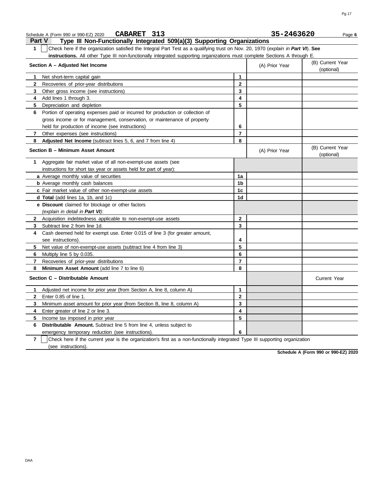**Part V Type III Non-Functionally Integrated 509(a)(3) Supporting Organizations 1** Check here if the organization satisfied the Integral Part Test as a qualifying trust on Nov. 20, 1970 (*explain in Part VI*). **See instructions.** All other Type III non-functionally integrated supporting organizations must complete Sections A through E. **1** Net short-term capital gain **2 3 4** Add lines 1 through 3. **5** Depreciation and depletion **6** Portion of operating expenses paid or incurred for production or collection of **7 8 Adjusted Net Income** (subtract lines 5, 6, and 7 from line 4) **1** Aggregate fair market value of all non-exempt-use assets (see **Section A – Adjusted Net Income** Recoveries of prior-year distributions Other gross income (see instructions) gross income or for management, conservation, or maintenance of property held for production of income (see instructions) Other expenses (see instructions) **Section B – Minimum Asset Amount 8 7 6 5 4 3 2 1** (A) Prior Year (B) Current Year (optional) (optional) (B) Current Year (A) Prior Year

#### instructions for short tax year or assets held for part of year): **a** Average monthly value of securities **b** Average monthly cash balances **c** Fair market value of other non-exempt-use assets **d Total** (add lines 1a, 1b, and 1c) **e Discount** claimed for blockage or other factors *(explain in detail in Part VI)*: **8 Minimum Asset Amount** (add line 7 to line 6) **7 6** Multiply line 5 by 0.035. **5 4** Cash deemed held for exempt use. Enter 0.015 of line 3 (for greater amount, **3** Subtract line 2 from line 1d. **2** Acquisition indebtedness applicable to non-exempt-use assets see instructions). Net value of non-exempt-use assets (subtract line 4 from line 3) Recoveries of prior-year distributions **Section C – Distributable Amount 6 Distributable Amount.** Subtract line 5 from line 4, unless subject to **5** Income tax imposed in prior year **4** Enter greater of line 2 or line 3. **3 2** Enter 0.85 of line 1. **1** Adjusted net income for prior year (from Section A, line 8, column A) Minimum asset amount for prior year (from Section B, line 8, column A) emergency temporary reduction (see instructions). **1a 1b 1c 1d 2 3 4 5 6 7 8 3 2 1 6 5 4** Current Year

**7** (see instructions). Check here if the current year is the organization's first as a non-functionally integrated Type III supporting organization

**Schedule A (Form 990 or 990-EZ) 2020**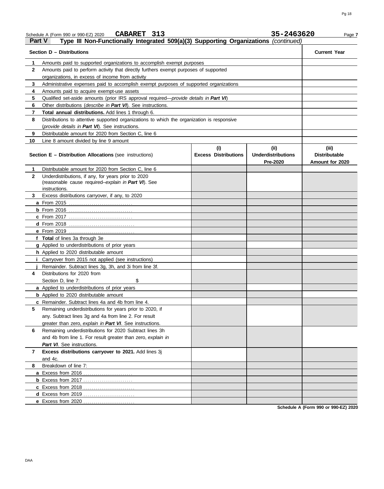| Part V       | Type III Non-Functionally Integrated 509(a)(3) Supporting Organizations (continued)                                                                           |                                    |                                              |                                                  |  |  |  |
|--------------|---------------------------------------------------------------------------------------------------------------------------------------------------------------|------------------------------------|----------------------------------------------|--------------------------------------------------|--|--|--|
|              | Section D - Distributions                                                                                                                                     |                                    |                                              | <b>Current Year</b>                              |  |  |  |
| 1.           | Amounts paid to supported organizations to accomplish exempt purposes                                                                                         |                                    |                                              |                                                  |  |  |  |
| $\mathbf{2}$ | Amounts paid to perform activity that directly furthers exempt purposes of supported<br>organizations, in excess of income from activity                      |                                    |                                              |                                                  |  |  |  |
| 3            | Administrative expenses paid to accomplish exempt purposes of supported organizations                                                                         |                                    |                                              |                                                  |  |  |  |
| 4            |                                                                                                                                                               |                                    |                                              |                                                  |  |  |  |
| 5            | Amounts paid to acquire exempt-use assets                                                                                                                     |                                    |                                              |                                                  |  |  |  |
| 6            | Qualified set-aside amounts (prior IRS approval required— <i>provide details in Part VI</i> )<br>Other distributions (describe in Part VI). See instructions. |                                    |                                              |                                                  |  |  |  |
| 7            | Total annual distributions. Add lines 1 through 6.                                                                                                            |                                    |                                              |                                                  |  |  |  |
| 8            |                                                                                                                                                               |                                    |                                              |                                                  |  |  |  |
|              | Distributions to attentive supported organizations to which the organization is responsive<br>(provide details in Part VI). See instructions.                 |                                    |                                              |                                                  |  |  |  |
| 9            | Distributable amount for 2020 from Section C, line 6                                                                                                          |                                    |                                              |                                                  |  |  |  |
| 10           |                                                                                                                                                               |                                    |                                              |                                                  |  |  |  |
|              | Line 8 amount divided by line 9 amount                                                                                                                        |                                    |                                              |                                                  |  |  |  |
|              | <b>Section E - Distribution Allocations (see instructions)</b>                                                                                                | (i)<br><b>Excess Distributions</b> | (i)<br><b>Underdistributions</b><br>Pre-2020 | (iii)<br><b>Distributable</b><br>Amount for 2020 |  |  |  |
| 1            | Distributable amount for 2020 from Section C, line 6                                                                                                          |                                    |                                              |                                                  |  |  |  |
| 2            | Underdistributions, if any, for years prior to 2020                                                                                                           |                                    |                                              |                                                  |  |  |  |
|              | (reasonable cause required-explain in Part VI). See<br>instructions.                                                                                          |                                    |                                              |                                                  |  |  |  |
| 3            | Excess distributions carryover, if any, to 2020                                                                                                               |                                    |                                              |                                                  |  |  |  |
|              |                                                                                                                                                               |                                    |                                              |                                                  |  |  |  |
|              |                                                                                                                                                               |                                    |                                              |                                                  |  |  |  |
|              | <b>c</b> From 2017                                                                                                                                            |                                    |                                              |                                                  |  |  |  |
|              |                                                                                                                                                               |                                    |                                              |                                                  |  |  |  |
|              |                                                                                                                                                               |                                    |                                              |                                                  |  |  |  |
|              | f Total of lines 3a through 3e                                                                                                                                |                                    |                                              |                                                  |  |  |  |
|              | g Applied to underdistributions of prior years                                                                                                                |                                    |                                              |                                                  |  |  |  |
|              | h Applied to 2020 distributable amount                                                                                                                        |                                    |                                              |                                                  |  |  |  |
|              | <i>i</i> Carryover from 2015 not applied (see instructions)                                                                                                   |                                    |                                              |                                                  |  |  |  |
|              | Remainder. Subtract lines 3g, 3h, and 3i from line 3f.                                                                                                        |                                    |                                              |                                                  |  |  |  |
| 4            | Distributions for 2020 from                                                                                                                                   |                                    |                                              |                                                  |  |  |  |
|              | Section D, line 7:<br>\$                                                                                                                                      |                                    |                                              |                                                  |  |  |  |
|              | a Applied to underdistributions of prior years                                                                                                                |                                    |                                              |                                                  |  |  |  |
|              | <b>b</b> Applied to 2020 distributable amount                                                                                                                 |                                    |                                              |                                                  |  |  |  |
|              | c Remainder. Subtract lines 4a and 4b from line 4                                                                                                             |                                    |                                              |                                                  |  |  |  |
| 5            | Remaining underdistributions for years prior to 2020, if                                                                                                      |                                    |                                              |                                                  |  |  |  |
|              | any. Subtract lines 3g and 4a from line 2. For result                                                                                                         |                                    |                                              |                                                  |  |  |  |
|              | greater than zero, explain in Part VI. See instructions.                                                                                                      |                                    |                                              |                                                  |  |  |  |
| 6            | Remaining underdistributions for 2020 Subtract lines 3h                                                                                                       |                                    |                                              |                                                  |  |  |  |
|              | and 4b from line 1. For result greater than zero, explain in                                                                                                  |                                    |                                              |                                                  |  |  |  |
|              | Part VI. See instructions.                                                                                                                                    |                                    |                                              |                                                  |  |  |  |
| 7            | Excess distributions carryover to 2021. Add lines 3j                                                                                                          |                                    |                                              |                                                  |  |  |  |
|              | and 4c.                                                                                                                                                       |                                    |                                              |                                                  |  |  |  |
| 8            | Breakdown of line 7:                                                                                                                                          |                                    |                                              |                                                  |  |  |  |
|              |                                                                                                                                                               |                                    |                                              |                                                  |  |  |  |
|              |                                                                                                                                                               |                                    |                                              |                                                  |  |  |  |
|              |                                                                                                                                                               |                                    |                                              |                                                  |  |  |  |
|              |                                                                                                                                                               |                                    |                                              |                                                  |  |  |  |
|              |                                                                                                                                                               |                                    |                                              |                                                  |  |  |  |

**Schedule A (Form 990 or 990-EZ) 2020**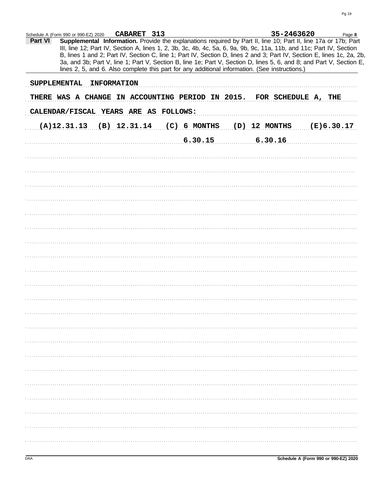| Part VI | Schedule A (Form 990 or 990-EZ) 2020 | CABARET 313                           |                                          | 35-2463620<br>Supplemental Information. Provide the explanations required by Part II, line 10; Part II, line 17a or 17b; Part<br>III, line 12; Part IV, Section A, lines 1, 2, 3b, 3c, 4b, 4c, 5a, 6, 9a, 9b, 9c, 11a, 11b, and 11c; Part IV, Section<br>B, lines 1 and 2; Part IV, Section C, line 1; Part IV, Section D, lines 2 and 3; Part IV, Section E, lines 1c, 2a, 2b,<br>3a, and 3b; Part V, line 1; Part V, Section B, line 1e; Part V, Section D, lines 5, 6, and 8; and Part V, Section E,<br>lines 2, 5, and 6. Also complete this part for any additional information. (See instructions.) | Page 8 |
|---------|--------------------------------------|---------------------------------------|------------------------------------------|-----------------------------------------------------------------------------------------------------------------------------------------------------------------------------------------------------------------------------------------------------------------------------------------------------------------------------------------------------------------------------------------------------------------------------------------------------------------------------------------------------------------------------------------------------------------------------------------------------------|--------|
|         | <b>SUPPLEMENTAL</b>                  | <b>INFORMATION</b>                    |                                          |                                                                                                                                                                                                                                                                                                                                                                                                                                                                                                                                                                                                           |        |
|         | THERE WAS A CHANGE                   |                                       | IN ACCOUNTING PERIOD IN 2015.            | FOR SCHEDULE A, THE                                                                                                                                                                                                                                                                                                                                                                                                                                                                                                                                                                                       |        |
|         |                                      | CALENDAR/FISCAL YEARS ARE AS FOLLOWS: |                                          |                                                                                                                                                                                                                                                                                                                                                                                                                                                                                                                                                                                                           |        |
|         |                                      |                                       | $(A)$ 12.31.13 (B) 12.31.14 (C) 6 MONTHS | (D) 12 MONTHS $(E)6.30.17$                                                                                                                                                                                                                                                                                                                                                                                                                                                                                                                                                                                |        |
|         |                                      |                                       | 6.30.15                                  | 6.30.16                                                                                                                                                                                                                                                                                                                                                                                                                                                                                                                                                                                                   |        |
|         |                                      |                                       |                                          |                                                                                                                                                                                                                                                                                                                                                                                                                                                                                                                                                                                                           |        |
|         |                                      |                                       |                                          |                                                                                                                                                                                                                                                                                                                                                                                                                                                                                                                                                                                                           |        |
|         |                                      |                                       |                                          |                                                                                                                                                                                                                                                                                                                                                                                                                                                                                                                                                                                                           |        |
|         |                                      |                                       |                                          |                                                                                                                                                                                                                                                                                                                                                                                                                                                                                                                                                                                                           |        |
|         |                                      |                                       |                                          |                                                                                                                                                                                                                                                                                                                                                                                                                                                                                                                                                                                                           |        |
|         |                                      |                                       |                                          |                                                                                                                                                                                                                                                                                                                                                                                                                                                                                                                                                                                                           |        |
|         |                                      |                                       |                                          |                                                                                                                                                                                                                                                                                                                                                                                                                                                                                                                                                                                                           |        |
|         |                                      |                                       |                                          |                                                                                                                                                                                                                                                                                                                                                                                                                                                                                                                                                                                                           |        |
|         |                                      |                                       |                                          |                                                                                                                                                                                                                                                                                                                                                                                                                                                                                                                                                                                                           |        |
|         |                                      |                                       |                                          |                                                                                                                                                                                                                                                                                                                                                                                                                                                                                                                                                                                                           |        |
|         |                                      |                                       |                                          |                                                                                                                                                                                                                                                                                                                                                                                                                                                                                                                                                                                                           |        |
|         |                                      |                                       |                                          |                                                                                                                                                                                                                                                                                                                                                                                                                                                                                                                                                                                                           |        |
|         |                                      |                                       |                                          |                                                                                                                                                                                                                                                                                                                                                                                                                                                                                                                                                                                                           |        |
|         |                                      |                                       |                                          |                                                                                                                                                                                                                                                                                                                                                                                                                                                                                                                                                                                                           |        |
|         |                                      |                                       |                                          |                                                                                                                                                                                                                                                                                                                                                                                                                                                                                                                                                                                                           |        |
|         |                                      |                                       |                                          |                                                                                                                                                                                                                                                                                                                                                                                                                                                                                                                                                                                                           |        |
|         |                                      |                                       |                                          |                                                                                                                                                                                                                                                                                                                                                                                                                                                                                                                                                                                                           |        |
|         |                                      |                                       |                                          |                                                                                                                                                                                                                                                                                                                                                                                                                                                                                                                                                                                                           |        |
|         |                                      |                                       |                                          |                                                                                                                                                                                                                                                                                                                                                                                                                                                                                                                                                                                                           |        |
|         |                                      |                                       |                                          |                                                                                                                                                                                                                                                                                                                                                                                                                                                                                                                                                                                                           |        |
|         |                                      |                                       |                                          |                                                                                                                                                                                                                                                                                                                                                                                                                                                                                                                                                                                                           |        |
|         |                                      |                                       |                                          |                                                                                                                                                                                                                                                                                                                                                                                                                                                                                                                                                                                                           |        |
|         |                                      |                                       |                                          |                                                                                                                                                                                                                                                                                                                                                                                                                                                                                                                                                                                                           |        |
|         |                                      |                                       |                                          |                                                                                                                                                                                                                                                                                                                                                                                                                                                                                                                                                                                                           |        |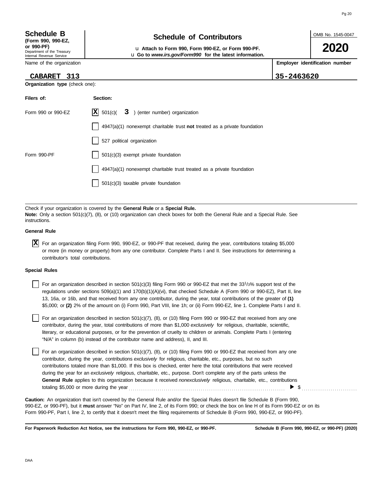OMB No. 1545-0047

**2020**

**Employer identification number**

**Filers** 

| (Form 990, 990-EZ,         |
|----------------------------|
| or 990-PF)                 |
| Department of the Treasury |
| Internal Revenue Service   |

# **Schedule of Contributors Schedule B**

**or 990-PF)** u **Attach to Form 990, Form 990-EZ, or Form 990-PF.** u **Go to** *www.irs.gov/Form990* **for the latest information.**

Name of the organization

| CABARET 313                           |                                                                             | 35-2463620 |
|---------------------------------------|-----------------------------------------------------------------------------|------------|
| <b>Organization type (check one):</b> |                                                                             |            |
| Filers of:                            | Section:                                                                    |            |
| Form 990 or 990-EZ                    | $ \mathbf{X} $ 501(c)(<br>3 ) (enter number) organization                   |            |
|                                       | $4947(a)(1)$ nonexempt charitable trust not treated as a private foundation |            |
|                                       | 527 political organization                                                  |            |
| Form 990-PF                           | $501(c)(3)$ exempt private foundation                                       |            |
|                                       | 4947(a)(1) nonexempt charitable trust treated as a private foundation       |            |

501(c)(3) taxable private foundation

Check if your organization is covered by the **General Rule** or a **Special Rule. Note:** Only a section 501(c)(7), (8), or (10) organization can check boxes for both the General Rule and a Special Rule. See instructions.

### **General Rule**

For an organization filing Form 990, 990-EZ, or 990-PF that received, during the year, contributions totaling \$5,000 **X** or more (in money or property) from any one contributor. Complete Parts I and II. See instructions for determining a contributor's total contributions.

#### **Special Rules**

For an organization described in section  $501(c)(3)$  filing Form 990 or 990-EZ that met the 33<sup>1</sup>/3% support test of the regulations under sections 509(a)(1) and 170(b)(1)(A)(vi), that checked Schedule A (Form 990 or 990-EZ), Part II, line 13, 16a, or 16b, and that received from any one contributor, during the year, total contributions of the greater of **(1)** \$5,000; or **(2)** 2% of the amount on (i) Form 990, Part VIII, line 1h; or (ii) Form 990-EZ, line 1. Complete Parts I and II.

literary, or educational purposes, or for the prevention of cruelty to children or animals. Complete Parts I (entering For an organization described in section 501(c)(7), (8), or (10) filing Form 990 or 990-EZ that received from any one contributor, during the year, total contributions of more than \$1,000 *exclusively* for religious, charitable, scientific, "N/A" in column (b) instead of the contributor name and address), II, and III.

For an organization described in section 501(c)(7), (8), or (10) filing Form 990 or 990-EZ that received from any one contributor, during the year, contributions *exclusively* for religious, charitable, etc., purposes, but no such contributions totaled more than \$1,000. If this box is checked, enter here the total contributions that were received during the year for an *exclusively* religious, charitable, etc., purpose. Don't complete any of the parts unless the **General Rule** applies to this organization because it received *nonexclusively* religious, charitable, etc., contributions totaling \$5,000 or more during the year . . . . . . . . . . . . . . . . . . . . . . . . . . . . . . . . . . . . . . . . . . . . . . . . . . . . . . . . . . . . . . . . . . . . . . . . . . . .  $\triangleright$  \$

990-EZ, or 990-PF), but it **must** answer "No" on Part IV, line 2, of its Form 990; or check the box on line H of its Form 990-EZ or on its Form 990-PF, Part I, line 2, to certify that it doesn't meet the filing requirements of Schedule B (Form 990, 990-EZ, or 990-PF). **Caution:** An organization that isn't covered by the General Rule and/or the Special Rules doesn't file Schedule B (Form 990,

**For Paperwork Reduction Act Notice, see the instructions for Form 990, 990-EZ, or 990-PF.**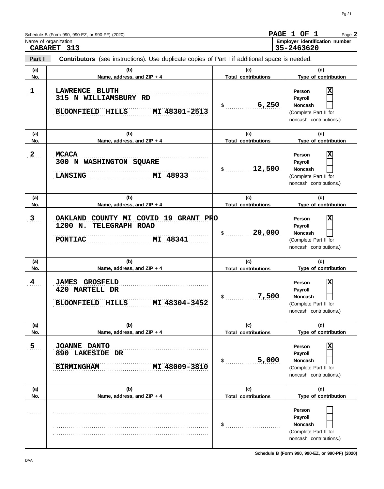|                | Schedule B (Form 990, 990-EZ, or 990-PF) (2020)<br>Name of organization<br>CABARET 313                |                                        | PAGE 1 OF 1<br>Page 2<br>Employer identification number<br>35-2463620                                              |
|----------------|-------------------------------------------------------------------------------------------------------|----------------------------------------|--------------------------------------------------------------------------------------------------------------------|
| Part I         | <b>Contributors</b> (see instructions). Use duplicate copies of Part I if additional space is needed. |                                        |                                                                                                                    |
| (a)<br>No.     | (b)<br>Name, address, and ZIP + 4                                                                     | (c)<br><b>Total contributions</b>      | (d)<br>Type of contribution                                                                                        |
| $1$            | <b>LAWRENCE BLUTH</b><br>315 N WILLIAMSBURY RD<br>MI 48301-2513<br>BLOOMFIELD HILLS                   | 6,250<br>$\$\ldots$                    | x<br>Person<br>Payroll<br><b>Noncash</b><br>(Complete Part II for<br>noncash contributions.)                       |
| (a)<br>No.     | (b)<br>Name, address, and ZIP + 4                                                                     | (c)<br><b>Total contributions</b>      | (d)<br>Type of contribution                                                                                        |
| 2 <sub>1</sub> | <b>MCACA</b><br>300 N WASHINGTON SQUARE<br>MI 48933<br><b>LANSING</b>                                 | 12,500<br>$\mathsf{\$}$                | x<br>Person<br>Payroll<br>Noncash<br>(Complete Part II for<br>noncash contributions.)                              |
| (a)<br>No.     | (b)<br>Name, address, and ZIP + 4                                                                     | (c)<br><b>Total contributions</b>      | (d)<br>Type of contribution                                                                                        |
| $3$            | OAKLAND COUNTY MI COVID 19 GRANT PRO<br>1200 N.<br>TELEGRAPH ROAD<br>MI 48341<br><b>PONTIAC</b>       | 20,000<br>$\$\ldots\ldots\ldots\ldots$ | X<br>Person<br>Payroll<br>Noncash<br>(Complete Part II for<br>noncash contributions.)                              |
| (a)<br>No.     | (b)<br>Name, address, and ZIP + 4                                                                     | (c)<br><b>Total contributions</b>      | (d)<br>Type of contribution                                                                                        |
| 4              | <b>JAMES GROSFELD</b><br>420 MARTELL DR<br>MI 48304-3452<br><b>BLOOMFIELD</b><br>HILLS                | 7,500<br>\$                            | $\overline{\textbf{x}}$<br>Person<br><b>Payroll</b><br>Noncash<br>(Complete Part II for<br>noncash contributions.) |
| (a)<br>No.     | (b)<br>Name, address, and ZIP + 4                                                                     | (c)<br><b>Total contributions</b>      | (d)<br>Type of contribution                                                                                        |
| .5.            | JOANNE DANTO<br>890 LAKESIDE DR<br>MI 48009-3810<br><b>BIRMINGHAM</b>                                 | 5,000<br>\$                            | Person<br>Payroll<br>Noncash<br>(Complete Part II for<br>noncash contributions.)                                   |
| (a)<br>No.     | (b)<br>Name, address, and ZIP + 4                                                                     | (c)<br><b>Total contributions</b>      | (d)<br>Type of contribution                                                                                        |
|                |                                                                                                       | \$                                     | Person<br>Payroll<br>Noncash<br>(Complete Part II for<br>noncash contributions.)                                   |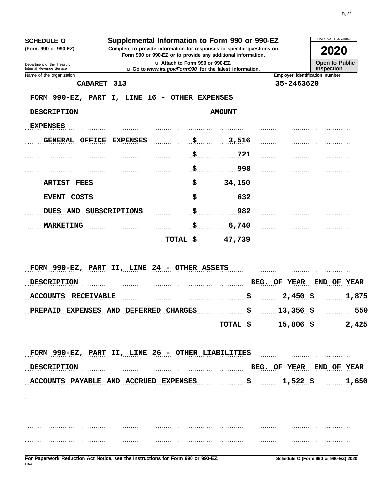| Supplemental Information to Form 990 or 990-EZ<br><b>SCHEDULE O</b> |                                                                                                                                        |                                 |                                                         |              | OMB No. 1545-0047                          |  |  |  |
|---------------------------------------------------------------------|----------------------------------------------------------------------------------------------------------------------------------------|---------------------------------|---------------------------------------------------------|--------------|--------------------------------------------|--|--|--|
| (Form 990 or 990-EZ)                                                | Complete to provide information for responses to specific questions on<br>Form 990 or 990-EZ or to provide any additional information. |                                 |                                                         |              | 2020                                       |  |  |  |
| Department of the Treasury<br>Internal Revenue Service              |                                                                                                                                        | u Attach to Form 990 or 990-EZ. | u Go to www.irs.gov/Form990 for the latest information. |              | <b>Open to Public</b><br>Inspection        |  |  |  |
| Name of the organization                                            |                                                                                                                                        |                                 |                                                         |              | Employer identification number             |  |  |  |
|                                                                     | CABARET 313                                                                                                                            |                                 |                                                         | 35-2463620   |                                            |  |  |  |
|                                                                     | FORM 990-EZ, PART I, LINE 16 - OTHER EXPENSES                                                                                          |                                 |                                                         |              |                                            |  |  |  |
| <b>DESCRIPTION</b>                                                  |                                                                                                                                        |                                 | <b>AMOUNT</b>                                           |              |                                            |  |  |  |
| <b>EXPENSES</b>                                                     |                                                                                                                                        |                                 |                                                         |              |                                            |  |  |  |
|                                                                     | GENERAL OFFICE EXPENSES                                                                                                                | \$.                             | 3,516                                                   |              |                                            |  |  |  |
|                                                                     |                                                                                                                                        | \$.                             | 721                                                     |              |                                            |  |  |  |
|                                                                     |                                                                                                                                        | \$                              | 998                                                     |              |                                            |  |  |  |
| <b>ARTIST FEES</b>                                                  |                                                                                                                                        | \$                              | 34,150                                                  |              |                                            |  |  |  |
| <b>COSTS</b><br><b>EVENT</b>                                        |                                                                                                                                        | \$                              | 632                                                     |              |                                            |  |  |  |
|                                                                     | DUES AND SUBSCRIPTIONS                                                                                                                 | \$                              | 982                                                     |              |                                            |  |  |  |
|                                                                     |                                                                                                                                        |                                 |                                                         |              |                                            |  |  |  |
| <b>MARKETING</b>                                                    |                                                                                                                                        | \$.                             | 6,740                                                   |              |                                            |  |  |  |
|                                                                     |                                                                                                                                        | TOTAL \$                        | 47,739                                                  |              |                                            |  |  |  |
|                                                                     |                                                                                                                                        |                                 |                                                         |              |                                            |  |  |  |
|                                                                     | FORM 990-EZ, PART II, LINE 24 - OTHER ASSETS                                                                                           |                                 |                                                         |              |                                            |  |  |  |
| <b>DESCRIPTION</b>                                                  |                                                                                                                                        |                                 |                                                         | BEG. OF YEAR | END OF YEAR                                |  |  |  |
|                                                                     | ACCOUNTS RECEIVABLE                                                                                                                    |                                 |                                                         |              | $\frac{\$}{2,450}$ \$ 1,875                |  |  |  |
|                                                                     |                                                                                                                                        |                                 |                                                         |              |                                            |  |  |  |
|                                                                     |                                                                                                                                        |                                 |                                                         |              | TOTAL $\frac{15}{806}$ $\frac{1}{5}$ 2,425 |  |  |  |
|                                                                     |                                                                                                                                        |                                 |                                                         |              |                                            |  |  |  |
|                                                                     | FORM 990-EZ, PART II, LINE 26 - OTHER LIABILITIES                                                                                      |                                 |                                                         |              |                                            |  |  |  |
|                                                                     |                                                                                                                                        |                                 |                                                         |              |                                            |  |  |  |
|                                                                     | DESCRIPTION DESCRIPTION DESCRIPTION                                                                                                    |                                 |                                                         |              |                                            |  |  |  |
|                                                                     | ACCOUNTS PAYABLE AND ACCRUED EXPENSES 5 5 1,522 \$ 1,650                                                                               |                                 |                                                         |              |                                            |  |  |  |
|                                                                     |                                                                                                                                        |                                 |                                                         |              |                                            |  |  |  |
|                                                                     |                                                                                                                                        |                                 |                                                         |              |                                            |  |  |  |
|                                                                     |                                                                                                                                        |                                 |                                                         |              |                                            |  |  |  |
|                                                                     |                                                                                                                                        |                                 |                                                         |              |                                            |  |  |  |
|                                                                     |                                                                                                                                        |                                 |                                                         |              |                                            |  |  |  |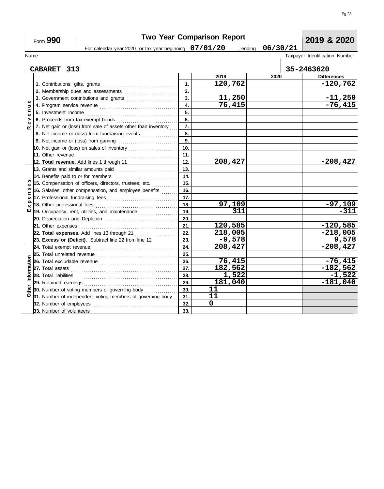|             | Form 990                 | <b>Two Year Comparison Report</b>                                                                                                                                                                                                                                                                                                                                                               |                  | 2019 & 2020 |          |                                |
|-------------|--------------------------|-------------------------------------------------------------------------------------------------------------------------------------------------------------------------------------------------------------------------------------------------------------------------------------------------------------------------------------------------------------------------------------------------|------------------|-------------|----------|--------------------------------|
|             |                          | For calendar year 2020, or tax year beginning $07/01/20$ , ending                                                                                                                                                                                                                                                                                                                               |                  |             | 06/30/21 |                                |
| Name        |                          |                                                                                                                                                                                                                                                                                                                                                                                                 |                  |             |          | Taxpayer Identification Number |
|             |                          |                                                                                                                                                                                                                                                                                                                                                                                                 |                  |             |          |                                |
|             | CABARET 313              |                                                                                                                                                                                                                                                                                                                                                                                                 |                  |             |          | 35-2463620                     |
|             |                          |                                                                                                                                                                                                                                                                                                                                                                                                 |                  | 2019        | 2020     | <b>Differences</b>             |
|             |                          |                                                                                                                                                                                                                                                                                                                                                                                                 | 1.               | 120,762     |          | $-120,762$                     |
|             |                          |                                                                                                                                                                                                                                                                                                                                                                                                 | 2.               |             |          |                                |
| ω           |                          | 3. Government contributions and grants                                                                                                                                                                                                                                                                                                                                                          | 3.               | 11,250      |          | $-11,250$                      |
| Ξ           |                          |                                                                                                                                                                                                                                                                                                                                                                                                 | $\overline{4}$ . | 76,415      |          | $-76,415$                      |
| ⊆           |                          |                                                                                                                                                                                                                                                                                                                                                                                                 | 5.               |             |          |                                |
| >           |                          |                                                                                                                                                                                                                                                                                                                                                                                                 | 6.               |             |          |                                |
|             |                          | 7. Net gain or (loss) from sale of assets other than inventory                                                                                                                                                                                                                                                                                                                                  | $\overline{7}$ . |             |          |                                |
|             |                          | 8. Net income or (loss) from fundraising events                                                                                                                                                                                                                                                                                                                                                 | 8.               |             |          |                                |
|             |                          |                                                                                                                                                                                                                                                                                                                                                                                                 | 9.               |             |          |                                |
|             |                          | 10. Net gain or (loss) on sales of inventory $\ldots$                                                                                                                                                                                                                                                                                                                                           | 10.              |             |          |                                |
|             |                          | 11. Other revenue <i>communication</i> and the communication of the communication of the communication of the communication of the communication of the communication of the communication of the communication of the communicatio                                                                                                                                                             | 11.              |             |          |                                |
|             |                          | 12. Total revenue. Add lines 1 through 11                                                                                                                                                                                                                                                                                                                                                       | 12.              | 208,427     |          | $-208, 427$                    |
|             |                          | 13. Grants and similar amounts paid $\left\lfloor \frac{1}{2}, \frac{1}{2}, \frac{1}{2}, \frac{1}{2}, \frac{1}{2}, \frac{1}{2}, \frac{1}{2}, \frac{1}{2}, \frac{1}{2}, \frac{1}{2}, \frac{1}{2}, \frac{1}{2}, \frac{1}{2}, \frac{1}{2}, \frac{1}{2}, \frac{1}{2}, \frac{1}{2}, \frac{1}{2}, \frac{1}{2}, \frac{1}{2}, \frac{1}{2}, \frac{1}{2}, \frac{1}{2}, \frac{1}{2}, \frac{1}{2}, \frac{1$ | 13.              |             |          |                                |
|             |                          | 14. Benefits paid to or for members                                                                                                                                                                                                                                                                                                                                                             | 14.              |             |          |                                |
| w           |                          | 15. Compensation of officers, directors, trustees, etc.                                                                                                                                                                                                                                                                                                                                         | 15.              |             |          |                                |
| m           |                          | 16. Salaries, other compensation, and employee benefits                                                                                                                                                                                                                                                                                                                                         | 16.              |             |          |                                |
|             |                          | 17. Professional fundraising fees <b>constructs</b> and a resonance and a resonance and a resonance and a resonance and                                                                                                                                                                                                                                                                         | 17.              |             |          |                                |
| Ω           |                          |                                                                                                                                                                                                                                                                                                                                                                                                 | 18.              | 97,109      |          | $-97,109$                      |
| ш           |                          | 19. Occupancy, rent, utilities, and maintenance <i>[[19. Occupancy, rent, utilities</i> , and maintenance                                                                                                                                                                                                                                                                                       | 19.              | 311         |          | $-311$                         |
|             |                          |                                                                                                                                                                                                                                                                                                                                                                                                 | 20.              |             |          |                                |
|             |                          |                                                                                                                                                                                                                                                                                                                                                                                                 | 21.              | 120,585     |          | $-120,585$                     |
|             |                          | 22. Total expenses. Add lines 13 through 21                                                                                                                                                                                                                                                                                                                                                     | 22.              | 218,005     |          | $-218,005$                     |
|             |                          | 23. Excess or (Deficit). Subtract line 22 from line 12                                                                                                                                                                                                                                                                                                                                          | 23.              | $-9,578$    |          | 9,578                          |
|             |                          |                                                                                                                                                                                                                                                                                                                                                                                                 | 24.              | 208,427     |          | $-208, 427$                    |
|             |                          |                                                                                                                                                                                                                                                                                                                                                                                                 | 25.              |             |          |                                |
| Information |                          |                                                                                                                                                                                                                                                                                                                                                                                                 | 26.              | 76,415      |          | $-76,415$                      |
|             |                          |                                                                                                                                                                                                                                                                                                                                                                                                 | 27.              | 182,562     |          | $-182,562$                     |
|             |                          | 28. Total liabilities <b>constant in the set of the set of the set of the set of the set of the set of the set of the set of the set of the set of the set of the set of the set of the set of the set of the set of the set of </b>                                                                                                                                                            | 28.              | 1,522       |          | $-1,522$                       |
|             | 29. Retained earnings    |                                                                                                                                                                                                                                                                                                                                                                                                 | 29.              | 181,040     |          | $-181,040$                     |
|             |                          | 30. Number of voting members of governing body                                                                                                                                                                                                                                                                                                                                                  | 30.              | 11          |          |                                |
|             |                          | 31. Number of independent voting members of governing body                                                                                                                                                                                                                                                                                                                                      | 31.              | 11          |          |                                |
|             |                          |                                                                                                                                                                                                                                                                                                                                                                                                 | 32.              | 0           |          |                                |
|             | 33. Number of volunteers |                                                                                                                                                                                                                                                                                                                                                                                                 | 33.              |             |          |                                |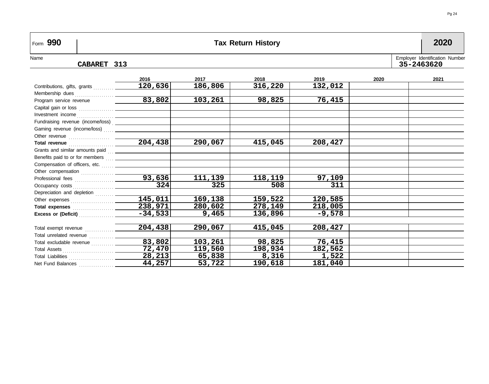| Form 990                                                            |           |         | <b>Tax Return History</b> |          |      |  | 2020 |  |
|---------------------------------------------------------------------|-----------|---------|---------------------------|----------|------|--|------|--|
| Employer Identification Number<br>Name<br>CABARET 313<br>35-2463620 |           |         |                           |          |      |  |      |  |
|                                                                     | 2016      | 2017    | 2018                      | 2019     | 2020 |  | 2021 |  |
|                                                                     | 120,636   | 186,806 | 316,220                   | 132,012  |      |  |      |  |
|                                                                     |           |         |                           |          |      |  |      |  |
| Program service revenue                                             | 83,802    | 103,261 | 98,825                    | 76,415   |      |  |      |  |
|                                                                     |           |         |                           |          |      |  |      |  |
|                                                                     |           |         |                           |          |      |  |      |  |
| Fundraising revenue (income/loss)                                   |           |         |                           |          |      |  |      |  |
| Gaming revenue (income/loss)  ______________                        |           |         |                           |          |      |  |      |  |
|                                                                     |           |         |                           |          |      |  |      |  |
|                                                                     |           | 290,067 | 415,045                   | 208,427  |      |  |      |  |
|                                                                     |           |         |                           |          |      |  |      |  |
|                                                                     |           |         |                           |          |      |  |      |  |
|                                                                     |           |         |                           |          |      |  |      |  |
|                                                                     |           |         |                           |          |      |  |      |  |
|                                                                     | 93,636    | 111,139 | 118,119                   | 97,109   |      |  |      |  |
|                                                                     | 324       | 325     | 508                       | 311      |      |  |      |  |
| Depreciation and depletion                                          |           |         |                           |          |      |  |      |  |
|                                                                     | 145,011   | 169,138 | 159,522                   | 120,585  |      |  |      |  |
|                                                                     | 238,971   | 280,602 | 278,149                   | 218,005  |      |  |      |  |
| Excess or (Deficit) Material Assembly Dentrus Allen Assembly        | $-34,533$ | 9,465   | 136,896                   | $-9,578$ |      |  |      |  |
|                                                                     |           |         |                           |          |      |  |      |  |
|                                                                     | 204,438   | 290,067 | 415,045                   | 208,427  |      |  |      |  |
| Total unrelated revenue                                             |           |         |                           |          |      |  |      |  |
|                                                                     | 83,802    | 103,261 | 98,825                    | 76,415   |      |  |      |  |
|                                                                     | 72,470    | 119,560 | 198,934                   | 182,562  |      |  |      |  |
|                                                                     | 28, 213   | 65,838  | 8,316                     | 1,522    |      |  |      |  |
| Net Fund Balances                                                   | 44,257    | 53,722  | 190,618                   | 181,040  |      |  |      |  |

Pg 24